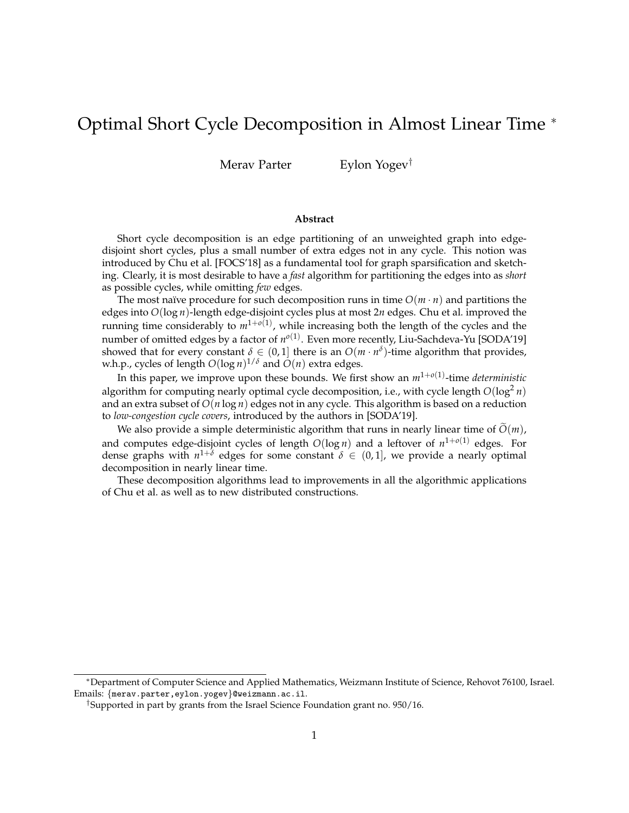# Optimal Short Cycle Decomposition in Almost Linear Time <sup>∗</sup>

Merav Parter Eylon Yogev<sup>†</sup>

#### **Abstract**

Short cycle decomposition is an edge partitioning of an unweighted graph into edgedisjoint short cycles, plus a small number of extra edges not in any cycle. This notion was introduced by Chu et al. [FOCS'18] as a fundamental tool for graph sparsification and sketching. Clearly, it is most desirable to have a *fast* algorithm for partitioning the edges into as *short* as possible cycles, while omitting *few* edges.

The most naïve procedure for such decomposition runs in time  $O(m \cdot n)$  and partitions the edges into *O*(log *n*)-length edge-disjoint cycles plus at most 2*n* edges. Chu et al. improved the running time considerably to  $m^{1+o(1)}$ , while increasing both the length of the cycles and the number of omitted edges by a factor of  $n^{o(1)}$ . Even more recently, Liu-Sachdeva-Yu [SODA'19] showed that for every constant  $\delta \in (0,1]$  there is an  $O(m \cdot n^{\delta})$ -time algorithm that provides, w.h.p., cycles of length  $O(\log n)^{1/\delta}$  and  $O(n)$  extra edges.

In this paper, we improve upon these bounds. We first show an *m*1+*o*(1) -time *deterministic* algorithm for computing nearly optimal cycle decomposition, i.e., with cycle length  $O(\log^2 n)$ and an extra subset of *O*(*n* log *n*) edges not in any cycle. This algorithm is based on a reduction to *low-congestion cycle covers*, introduced by the authors in [SODA'19].

We also provide a simple deterministic algorithm that runs in nearly linear time of  $\tilde{O}(m)$ , and computes edge-disjoint cycles of length *O*(log *n*) and a leftover of *n* 1+*o*(1) edges. For dense graphs with  $n^{1+\delta}$  edges for some constant  $\delta \in (0,1]$ , we provide a nearly optimal decomposition in nearly linear time.

These decomposition algorithms lead to improvements in all the algorithmic applications of Chu et al. as well as to new distributed constructions.

<sup>∗</sup>Department of Computer Science and Applied Mathematics, Weizmann Institute of Science, Rehovot 76100, Israel. Emails: {merav.parter,eylon.yogev}@weizmann.ac.il.

<sup>†</sup>Supported in part by grants from the Israel Science Foundation grant no. 950/16.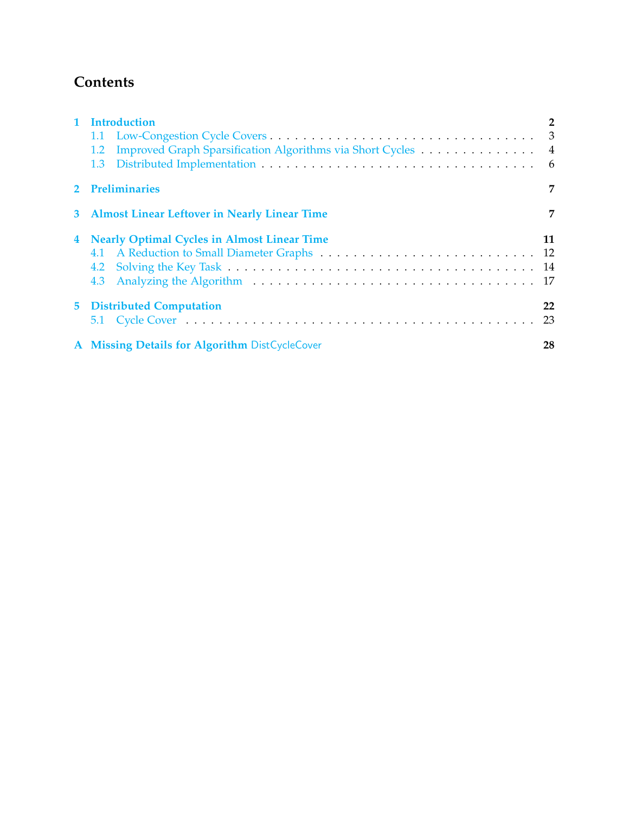# **Contents**

| 1 Introduction<br>1.2<br>1.3                         | $\overline{2}$ |  |  |  |
|------------------------------------------------------|----------------|--|--|--|
| 2 Preliminaries                                      |                |  |  |  |
| 3 Almost Linear Leftover in Nearly Linear Time       |                |  |  |  |
| 4 Nearly Optimal Cycles in Almost Linear Time        | 11             |  |  |  |
| <b>5</b> Distributed Computation                     | 22<br>23       |  |  |  |
| A Missing Details for Algorithm DistCycleCover<br>28 |                |  |  |  |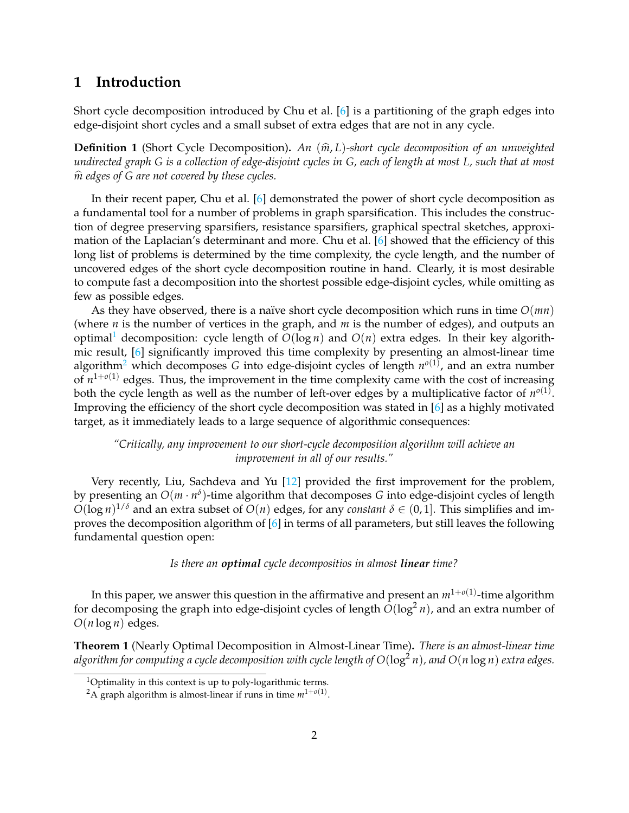# <span id="page-2-0"></span>**1 Introduction**

Short cycle decomposition introduced by Chu et al. [\[6\]](#page-27-0) is a partitioning of the graph edges into edge-disjoint short cycles and a small subset of extra edges that are not in any cycle.

**Definition 1** (Short Cycle Decomposition)**.** *An* (*m*b, *<sup>L</sup>*)*-short cycle decomposition of an unweighted undirected graph G is a collection of edge-disjoint cycles in G, each of length at most L, such that at most*  $\hat{m}$  edges of G are not covered by these cycles.

In their recent paper, Chu et al. [\[6\]](#page-27-0) demonstrated the power of short cycle decomposition as a fundamental tool for a number of problems in graph sparsification. This includes the construction of degree preserving sparsifiers, resistance sparsifiers, graphical spectral sketches, approximation of the Laplacian's determinant and more. Chu et al. [\[6\]](#page-27-0) showed that the efficiency of this long list of problems is determined by the time complexity, the cycle length, and the number of uncovered edges of the short cycle decomposition routine in hand. Clearly, it is most desirable to compute fast a decomposition into the shortest possible edge-disjoint cycles, while omitting as few as possible edges.

As they have observed, there is a naïve short cycle decomposition which runs in time  $O(mn)$ (where *n* is the number of vertices in the graph, and *m* is the number of edges), and outputs an optimal<sup>[1](#page-2-1)</sup> decomposition: cycle length of  $O(\log n)$  and  $O(n)$  extra edges. In their key algorithmic result, [\[6\]](#page-27-0) significantly improved this time complexity by presenting an almost-linear time algorithm<sup>[2](#page-2-2)</sup> which decomposes G into edge-disjoint cycles of length  $n^{o(1)}$ , and an extra number of  $n^{1+o(1)}$  edges. Thus, the improvement in the time complexity came with the cost of increasing both the cycle length as well as the number of left-over edges by a multiplicative factor of  $n^{o(1)}$ . Improving the efficiency of the short cycle decomposition was stated in [\[6\]](#page-27-0) as a highly motivated target, as it immediately leads to a large sequence of algorithmic consequences:

### *"Critically, any improvement to our short-cycle decomposition algorithm will achieve an improvement in all of our results."*

Very recently, Liu, Sachdeva and Yu [\[12\]](#page-27-1) provided the first improvement for the problem, by presenting an *O*(*m* · *n δ* )-time algorithm that decomposes *G* into edge-disjoint cycles of length  $O(\log n)^{1/\delta}$  and an extra subset of  $O(n)$  edges, for any *constant*  $\delta \in (0,1]$ . This simplifies and improves the decomposition algorithm of [\[6\]](#page-27-0) in terms of all parameters, but still leaves the following fundamental question open:

### *Is there an optimal cycle decompositios in almost linear time?*

In this paper, we answer this question in the affirmative and present an  $m^{1+o(1)}$ -time algorithm for decomposing the graph into edge-disjoint cycles of length  $O(\log^2 n)$ , and an extra number of  $O(n \log n)$  edges.

<span id="page-2-3"></span>**Theorem 1** (Nearly Optimal Decomposition in Almost-Linear Time)**.** *There is an almost-linear time algorithm for computing a cycle decomposition with cycle length of O*(log<sup>2</sup> *n*)*, and O*(*n* log *n*) *extra edges.*

<span id="page-2-1"></span><sup>&</sup>lt;sup>1</sup>Optimality in this context is up to poly-logarithmic terms.

<span id="page-2-2"></span><sup>&</sup>lt;sup>2</sup>A graph algorithm is almost-linear if runs in time  $m^{1+o(1)}$ .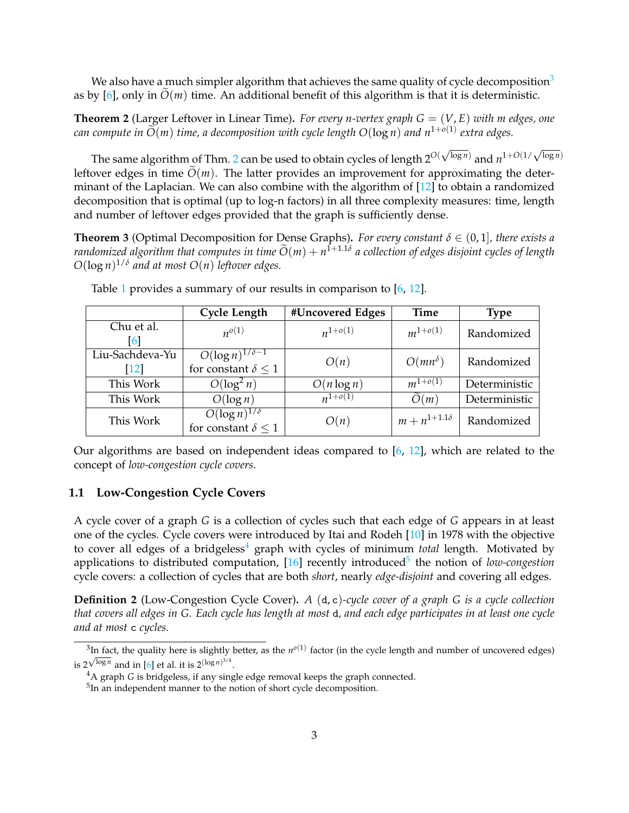We also have a much simpler algorithm that achieves the same quality of cycle decomposition<sup>[3](#page-3-1)</sup> as by [\[6\]](#page-27-0), only in  $\tilde{O}(m)$  time. An additional benefit of this algorithm is that it is deterministic.

<span id="page-3-2"></span>**Theorem 2** (Larger Leftover in Linear Time). For every *n*-vertex graph  $G = (V, E)$  with *m* edges, one  $c$ *an compute in*  $\widetilde{O}(m)$  *time, a decomposition with cycle length*  $O(\log n)$  *and*  $n^{1+o(1)}$  *extra edges.* 

The same algorithm of Thm. [2](#page-3-2) can be used to obtain cycles of length 2*O*(  $\sqrt{\log n}$  and  $n^{1+O(1/\sqrt{\log n})}$ leftover edges in time  $O(m)$ . The latter provides an improvement for approximating the determinant of the Laplacian. We can also combine with the algorithm of [\[12\]](#page-27-1) to obtain a randomized decomposition that is optimal (up to log-n factors) in all three complexity measures: time, length and number of leftover edges provided that the graph is sufficiently dense.

<span id="page-3-3"></span>**Theorem 3** (Optimal Decomposition for Dense Graphs). For every constant  $\delta \in (0,1]$ , there exists a *randomized algorithm that computes in time*  $\widetilde{O}(m) + n^{1+1.1\delta}$  *a collection of edges disjoint cycles of length*  $O(\log n)^{1/\delta}$  and at most  $O(n)$  *leftover edges.* 

|                                     | <b>Cycle Length</b>                                      | #Uncovered Edges | <b>Time</b>           | <b>Type</b>   |
|-------------------------------------|----------------------------------------------------------|------------------|-----------------------|---------------|
| Chu et al.<br>$\vert 6 \vert$       | $n^{o(1)}$                                               | $n^{1+o(1)}$     | $m^{1+o(1)}$          | Randomized    |
| Liu-Sachdeva-Yu<br>$\vert 12 \vert$ | $O(\log n)^{1/\delta-1}$<br>for constant $\delta \leq 1$ | O(n)             | $O(mn^{\delta})$      | Randomized    |
| This Work                           | $O(\log^2 n)$                                            | $O(n \log n)$    | $m^{1+o(1)}$          | Deterministic |
| This Work                           | $O(\log n)$                                              | $n^{1+o(1)}$     | $\widetilde{O}(m)$    | Deterministic |
| This Work                           | $O(\log n)^{1/\delta}$<br>for constant $\delta \leq 1$   | O(n)             | $m + n^{1+1.1\delta}$ | Randomized    |

Table [1](#page-3-3) provides a summary of our results in comparison to [\[6,](#page-27-0) [12\]](#page-27-1).

Our algorithms are based on independent ideas compared to [\[6,](#page-27-0) [12\]](#page-27-1), which are related to the concept of *low-congestion cycle covers*.

### <span id="page-3-0"></span>**1.1 Low-Congestion Cycle Covers**

A cycle cover of a graph *G* is a collection of cycles such that each edge of *G* appears in at least one of the cycles. Cycle covers were introduced by Itai and Rodeh [\[10\]](#page-27-2) in 1978 with the objective to cover all edges of a bridgeless<sup>[4](#page-3-4)</sup> graph with cycles of minimum *total* length. Motivated by applications to distributed computation, [\[16\]](#page-28-1) recently introduced<sup>[5](#page-3-5)</sup> the notion of *low-congestion* cycle covers: a collection of cycles that are both *short*, nearly *edge-disjoint* and covering all edges.

**Definition 2** (Low-Congestion Cycle Cover)**.** *A* (d, c)*-cycle cover of a graph G is a cycle collection that covers all edges in G. Each cycle has length at most* d*, and each edge participates in at least one cycle and at most* c *cycles.*

<span id="page-3-1"></span><sup>&</sup>lt;sup>3</sup>In fact, the quality here is slightly better, as the  $n^{o(1)}$  factor (in the cycle length and number of uncovered edges) is  $2^{\sqrt{\log n}}$  and in [\[6\]](#page-27-0) et al. it is  $2^{(\log n)^{3/4}}$ .

<span id="page-3-4"></span><sup>&</sup>lt;sup>4</sup>A graph *G* is bridgeless, if any single edge removal keeps the graph connected.

<span id="page-3-5"></span> $5$ In an independent manner to the notion of short cycle decomposition.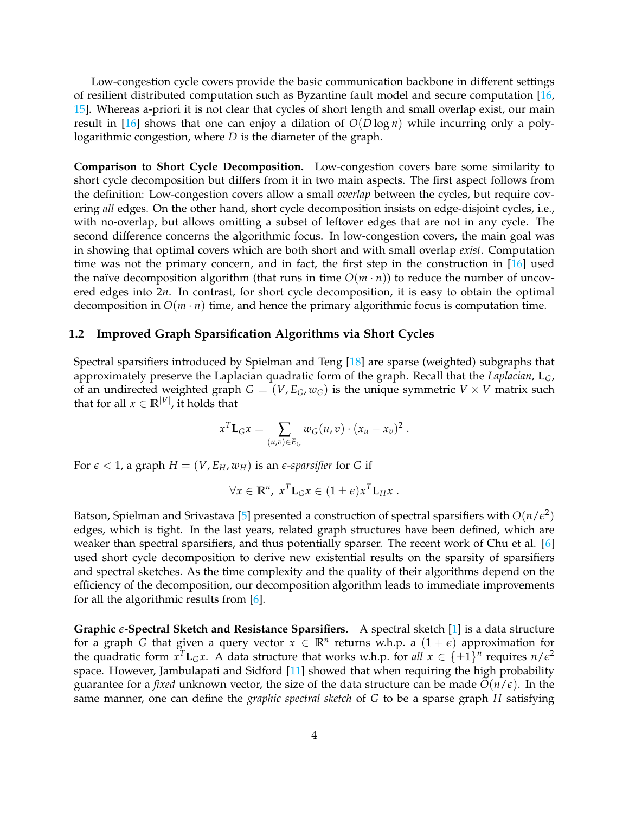Low-congestion cycle covers provide the basic communication backbone in different settings of resilient distributed computation such as Byzantine fault model and secure computation [\[16,](#page-28-1) [15\]](#page-28-2). Whereas a-priori it is not clear that cycles of short length and small overlap exist, our main result in [\[16\]](#page-28-1) shows that one can enjoy a dilation of  $O(D \log n)$  while incurring only a polylogarithmic congestion, where *D* is the diameter of the graph.

**Comparison to Short Cycle Decomposition.** Low-congestion covers bare some similarity to short cycle decomposition but differs from it in two main aspects. The first aspect follows from the definition: Low-congestion covers allow a small *overlap* between the cycles, but require covering *all* edges. On the other hand, short cycle decomposition insists on edge-disjoint cycles, i.e., with no-overlap, but allows omitting a subset of leftover edges that are not in any cycle. The second difference concerns the algorithmic focus. In low-congestion covers, the main goal was in showing that optimal covers which are both short and with small overlap *exist*. Computation time was not the primary concern, and in fact, the first step in the construction in  $[16]$  used the naïve decomposition algorithm (that runs in time  $O(m \cdot n)$ ) to reduce the number of uncovered edges into 2*n*. In contrast, for short cycle decomposition, it is easy to obtain the optimal decomposition in  $O(m \cdot n)$  time, and hence the primary algorithmic focus is computation time.

### <span id="page-4-0"></span>**1.2 Improved Graph Sparsification Algorithms via Short Cycles**

Spectral sparsifiers introduced by Spielman and Teng [\[18\]](#page-28-3) are sparse (weighted) subgraphs that approximately preserve the Laplacian quadratic form of the graph. Recall that the *Laplacian*, **L***G*, of an undirected weighted graph  $G = (V, E_G, w_G)$  is the unique symmetric  $V \times V$  matrix such that for all  $x \in \mathbb{R}^{|V|}$ , it holds that

$$
x^T \mathbf{L}_G x = \sum_{(u,v) \in E_G} w_G(u,v) \cdot (x_u - x_v)^2.
$$

For  $\epsilon$  < 1, a graph  $H = (V, E_H, w_H)$  is an *e-sparsifier* for *G* if

$$
\forall x \in \mathbb{R}^n, \; x^T \mathbf{L}_G x \in (1 \pm \epsilon) x^T \mathbf{L}_H x \; .
$$

Batson, Spielman and Srivastava [\[5\]](#page-27-3) presented a construction of spectral sparsifiers with  $O(n/\epsilon^2)$ edges, which is tight. In the last years, related graph structures have been defined, which are weaker than spectral sparsifiers, and thus potentially sparser. The recent work of Chu et al. [\[6\]](#page-27-0) used short cycle decomposition to derive new existential results on the sparsity of sparsifiers and spectral sketches. As the time complexity and the quality of their algorithms depend on the efficiency of the decomposition, our decomposition algorithm leads to immediate improvements for all the algorithmic results from [\[6\]](#page-27-0).

**Graphic** *e***-Spectral Sketch and Resistance Sparsifiers.** A spectral sketch [\[1\]](#page-27-4) is a data structure for a graph *G* that given a query vector  $x \in \mathbb{R}^n$  returns w.h.p. a  $(1+\epsilon)$  approximation for the quadratic form  $x^T L_G x$ . A data structure that works w.h.p. for all  $x \in \{\pm 1\}^n$  requires  $n/\epsilon^2$ space. However, Jambulapati and Sidford [\[11\]](#page-27-5) showed that when requiring the high probability guarantee for a *fixed* unknown vector, the size of the data structure can be made  $\tilde{O}(n/\epsilon)$ . In the same manner, one can define the *graphic spectral sketch* of *G* to be a sparse graph *H* satisfying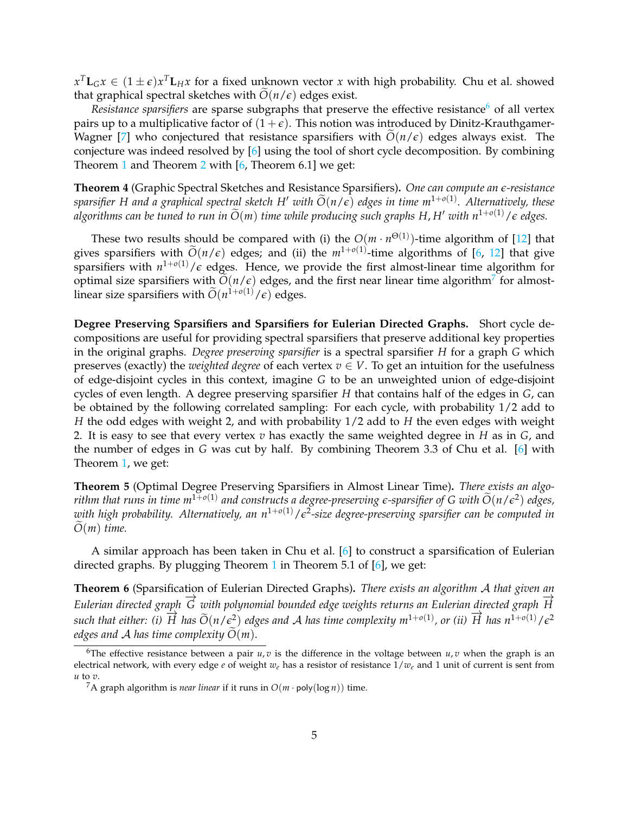$x^T \mathbf{L}_G x \in (1 \pm \epsilon) x^T \mathbf{L}_H x$  for a fixed unknown vector  $x$  with high probability. Chu et al. showed that graphical spectral sketches with  $\tilde{O}(n/\epsilon)$  edges exist.

*Resistance sparsifiers* are sparse subgraphs that preserve the effective resistance<sup>[6](#page-5-0)</sup> of all vertex pairs up to a multiplicative factor of  $(1+\epsilon)$ . This notion was introduced by Dinitz-Krauthgamer-Wagner [\[7\]](#page-27-6) who conjectured that resistance sparsifiers with  $O(n/\epsilon)$  edges always exist. The conjecture was indeed resolved by [\[6\]](#page-27-0) using the tool of short cycle decomposition. By combining Theorem [1](#page-2-3) and Theorem [2](#page-3-2) with  $[6,$  Theorem 6.1] we get:

<span id="page-5-2"></span>**Theorem 4** (Graphic Spectral Sketches and Resistance Sparsifiers)**.** *One can compute an e-resistance*  $s$ *parsifier H and a graphical spectral sketch H' with*  $\widetilde{O}(n/\epsilon)$  *edges in time m*<sup>1+*o*(1)</sup>. Alternatively, these *algorithms can be tuned to run in*  $\widetilde{O}(m)$  *time while producing such graphs H, H' with n*<sup>1+*o*(1)</sup>/ $\epsilon$  *edges.* 

These two results should be compared with (i) the  $O(m \cdot n^{\Theta(1)})$ -time algorithm of [\[12\]](#page-27-1) that gives sparsifiers with  $\widetilde{O}(n/\epsilon)$  edges; and (ii) the  $m^{1+o(1)}$ -time algorithms of [\[6,](#page-27-0) [12\]](#page-27-1) that give sparsifiers with  $n^{1+o(1)}/\epsilon$  edges. Hence, we provide the first almost-linear time algorithm for optimal size sparsifiers with  $\widetilde{O}(n/\epsilon)$  edges, and the first near linear time algorithm<sup>[7](#page-5-1)</sup> for almostlinear size sparsifiers with  $\widetilde{O}(n^{1+o(1)}/\epsilon)$  edges.

**Degree Preserving Sparsifiers and Sparsifiers for Eulerian Directed Graphs.** Short cycle decompositions are useful for providing spectral sparsifiers that preserve additional key properties in the original graphs. *Degree preserving sparsifier* is a spectral sparsifier *H* for a graph *G* which preserves (exactly) the *weighted degree* of each vertex  $v \in V$ . To get an intuition for the usefulness of edge-disjoint cycles in this context, imagine *G* to be an unweighted union of edge-disjoint cycles of even length. A degree preserving sparsifier *H* that contains half of the edges in *G*, can be obtained by the following correlated sampling: For each cycle, with probability 1/2 add to *H* the odd edges with weight 2, and with probability 1/2 add to *H* the even edges with weight 2. It is easy to see that every vertex *v* has exactly the same weighted degree in *H* as in *G*, and the number of edges in *G* was cut by half. By combining Theorem 3.3 of Chu et al. [\[6\]](#page-27-0) with Theorem [1,](#page-2-3) we get:

**Theorem 5** (Optimal Degree Preserving Sparsifiers in Almost Linear Time)**.** *There exists an algorithm that runs in time m*<sup>1+*o*(1)</sup> and constructs a degree-preserving  $\epsilon$ -sparsifier of G with  $\widetilde{O}(n/\epsilon^2)$  edges, *with high probability. Alternatively, an n*1+*o*(1)/*e* 2 *-size degree-preserving sparsifier can be computed in*  $O(m)$  *time.* 

A similar approach has been taken in Chu et al. [\[6\]](#page-27-0) to construct a sparsification of Eulerian directed graphs. By plugging Theorem [1](#page-2-3) in Theorem 5.1 of [\[6\]](#page-27-0), we get:

**Theorem 6** (Sparsification of Eulerian Directed Graphs)**.** *There exists an algorithm* A *that given an Eulerian directed graph*  $\overrightarrow{G}$  with polynomial bounded edge weights returns an Eulerian directed graph  $\overrightarrow{H}$  $\frac{1}{2}$  *kinerally all either: (i)*  $\overrightarrow{H}$  *has*  $\widetilde{O}(n/\epsilon^2)$  *edges and* A *has time complexity*  $m^{1+o(1)}$ *, or (ii)*  $\overrightarrow{H}$  *has*  $n^{1+o(1)}/\epsilon^2$ *edges and* A *has time complexity*  $O(m)$ *.* 

<span id="page-5-0"></span><sup>&</sup>lt;sup>6</sup>The effective resistance between a pair  $u, v$  is the difference in the voltage between  $u, v$  when the graph is an electrical network, with every edge *e* of weight *we* has a resistor of resistance 1/*we* and 1 unit of current is sent from *u* to *v*.

<span id="page-5-1"></span><sup>&</sup>lt;sup>7</sup>A graph algorithm is *near linear* if it runs in  $O(m \cdot \text{poly}(\log n))$  time.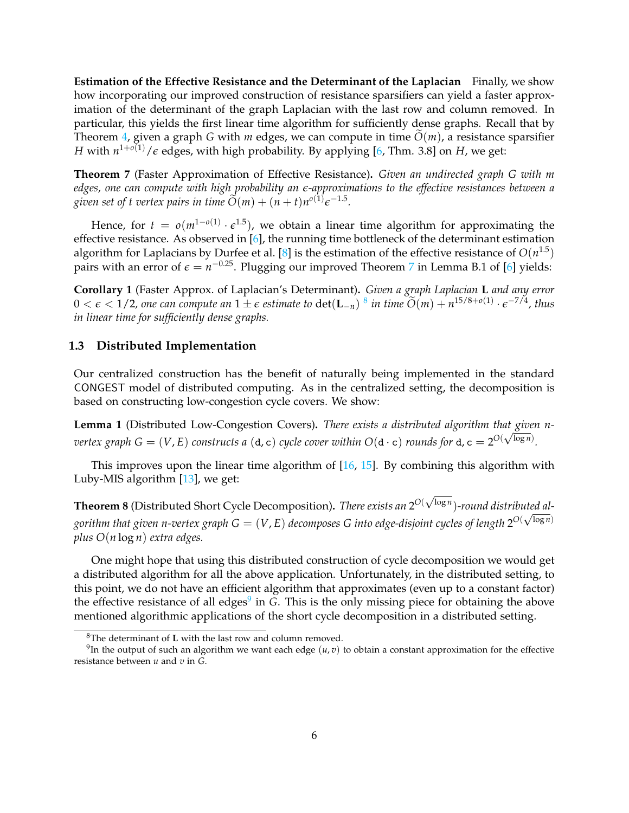**Estimation of the Effective Resistance and the Determinant of the Laplacian** Finally, we show how incorporating our improved construction of resistance sparsifiers can yield a faster approximation of the determinant of the graph Laplacian with the last row and column removed. In particular, this yields the first linear time algorithm for sufficiently dense graphs. Recall that by Theorem [4,](#page-5-2) given a graph *G* with *m* edges, we can compute in time  $\tilde{O}(m)$ , a resistance sparsifier *H* with  $n^{1+o(1)}/\varepsilon$  edges, with high probability. By applying [\[6,](#page-27-0) Thm. 3.8] on *H*, we get:

<span id="page-6-1"></span>**Theorem 7** (Faster Approximation of Effective Resistance)**.** *Given an undirected graph G with m edges, one can compute with high probability an e-approximations to the effective resistances between a given set of t vertex pairs in time*  $\widetilde{O}(m) + (n+t)n^{o(1)}\epsilon^{-1.5}$ *.* 

Hence, for  $t = o(m^{1-o(1)} \cdot \epsilon^{1.5})$ , we obtain a linear time algorithm for approximating the effective resistance. As observed in [\[6\]](#page-27-0), the running time bottleneck of the determinant estimation algorithm for Laplacians by Durfee et al. [\[8\]](#page-27-7) is the estimation of the effective resistance of  $O(n^{1.5})$ pairs with an error of  $\epsilon = n^{-0.25}$ . Plugging our improved Theorem [7](#page-6-1) in Lemma B.1 of [\[6\]](#page-27-0) yields:

**Corollary 1** (Faster Approx. of Laplacian's Determinant)**.** *Given a graph Laplacian* **L** *and any error*  $0 < \epsilon < 1/2$ , one can compute an  $1 \pm \epsilon$  estimate to  $\det(L_{-n})^{8}$  $\det(L_{-n})^{8}$  $\det(L_{-n})^{8}$  in time  $\widetilde{O}(m) + n^{15/8 + o(1)} \cdot \epsilon^{-7/4}$ , thus *in linear time for sufficiently dense graphs.*

### <span id="page-6-0"></span>**1.3 Distributed Implementation**

Our centralized construction has the benefit of naturally being implemented in the standard CONGEST model of distributed computing. As in the centralized setting, the decomposition is based on constructing low-congestion cycle covers. We show:

**Lemma 1** (Distributed Low-Congestion Covers)**.** *There exists a distributed algorithm that given nvertex graph G* = (*V*, *E*) *constructs a* (d, *c*) *cycle cover within*  $O(d \cdot c)$  *rounds for* d,  $c = 2^{O(\sqrt{\log n})}$ .

This improves upon the linear time algorithm of [\[16,](#page-28-1) [15\]](#page-28-2). By combining this algorithm with Luby-MIS algorithm [\[13\]](#page-27-8), we get:

**Theorem 8** (Distributed Short Cycle Decomposition). *There exists an* 2<sup>O(√log *n*</sup>)-round distributed algorithm that given n-vertex graph  $G=(V,E)$  decomposes  $G$  into edge-disjoint cycles of length  $2^{O(\sqrt{\log n})}$ *plus O*(*n* log *n*) *extra edges.*

One might hope that using this distributed construction of cycle decomposition we would get a distributed algorithm for all the above application. Unfortunately, in the distributed setting, to this point, we do not have an efficient algorithm that approximates (even up to a constant factor) the effective resistance of all edges<sup>[9](#page-6-3)</sup> in *G*. This is the only missing piece for obtaining the above mentioned algorithmic applications of the short cycle decomposition in a distributed setting.

<span id="page-6-3"></span><span id="page-6-2"></span><sup>8</sup>The determinant of **L** with the last row and column removed.

 $^{9}$ In the output of such an algorithm we want each edge  $(u,v)$  to obtain a constant approximation for the effective resistance between *u* and *v* in *G*.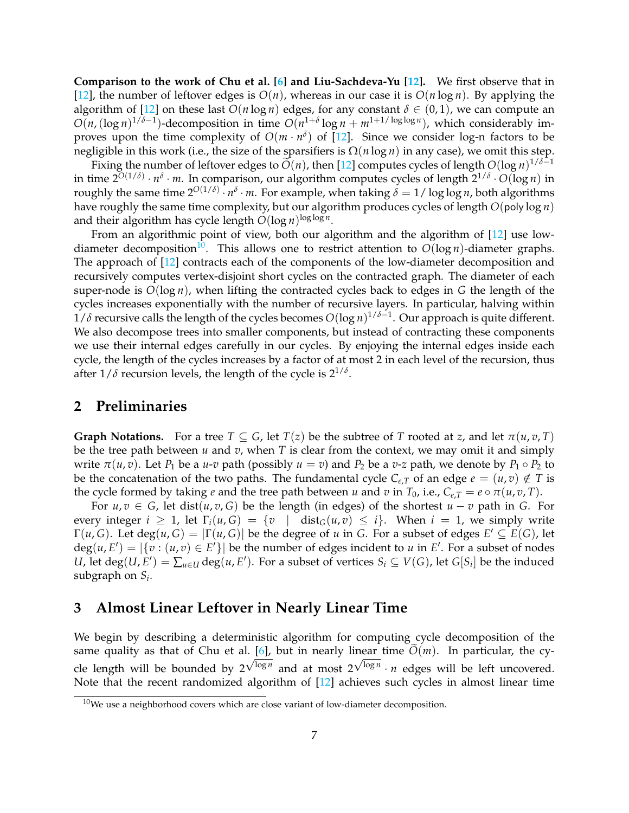**Comparison to the work of Chu et al. [\[6\]](#page-27-0) and Liu-Sachdeva-Yu [\[12\]](#page-27-1).** We first observe that in [\[12\]](#page-27-1), the number of leftover edges is  $O(n)$ , whereas in our case it is  $O(n \log n)$ . By applying the algorithm of [\[12\]](#page-27-1) on these last  $O(n \log n)$  edges, for any constant  $\delta \in (0,1)$ , we can compute an  $O(n, (\log n)^{1/\delta-1})$ -decomposition in time  $O(n^{1+\delta}\log n + m^{1+1/\log\log n})$ , which considerably improves upon the time complexity of  $O(m \cdot n^{\delta})$  of [\[12\]](#page-27-1). Since we consider log-n factors to be negligible in this work (i.e., the size of the sparsifiers is  $\Omega(n \log n)$  in any case), we omit this step.

Fixing the number of leftover edges to  $\widetilde{O}(n)$ , then [\[12\]](#page-27-1) computes cycles of length  $O(\log n)^{1/\delta-1}$ in time 2*O*(1/*δ*) · *n δ* · *m*. In comparison, our algorithm computes cycles of length 21/*<sup>δ</sup>* · *O*(log *n*) in roughly the same time  $2^{O(1/\delta)} \cdot n^{\delta} \cdot m$ . For example, when taking  $\delta = 1/\log \log n$ , both algorithms have roughly the same time complexity, but our algorithm produces cycles of length *O*(poly log *n*) and their algorithm has cycle length  $O(\log n)^{\log\log n}$ .

From an algorithmic point of view, both our algorithm and the algorithm of [\[12\]](#page-27-1) use low-diameter decomposition<sup>[10](#page-7-2)</sup>. This allows one to restrict attention to  $O(\log n)$ -diameter graphs. The approach of [\[12\]](#page-27-1) contracts each of the components of the low-diameter decomposition and recursively computes vertex-disjoint short cycles on the contracted graph. The diameter of each super-node is *O*(log *n*), when lifting the contracted cycles back to edges in *G* the length of the cycles increases exponentially with the number of recursive layers. In particular, halving within 1/*δ* recursive calls the length of the cycles becomes *O*(log *n*) 1/*δ*−1 . Our approach is quite different. We also decompose trees into smaller components, but instead of contracting these components we use their internal edges carefully in our cycles. By enjoying the internal edges inside each cycle, the length of the cycles increases by a factor of at most 2 in each level of the recursion, thus after  $1/\delta$  recursion levels, the length of the cycle is  $2^{1/\delta}$ .

## <span id="page-7-0"></span>**2 Preliminaries**

**Graph Notations.** For a tree  $T \subseteq G$ , let  $T(z)$  be the subtree of *T* rooted at *z*, and let  $\pi(u, v, T)$ be the tree path between *u* and *v*, when *T* is clear from the context, we may omit it and simply write  $\pi(u, v)$ . Let  $P_1$  be a  $u$ -*v* path (possibly  $u = v$ ) and  $P_2$  be a *v*-*z* path, we denote by  $P_1 \circ P_2$  to be the concatenation of the two paths. The fundamental cycle  $C_{e,T}$  of an edge  $e = (u,v) \notin T$  is the cycle formed by taking *e* and the tree path between *u* and *v* in  $T_0$ , i.e.,  $C_{e,T} = e \circ \pi(u, v, T)$ .

For  $u, v \in G$ , let dist $(u, v, G)$  be the length (in edges) of the shortest  $u - v$  path in G. For every integer  $i \geq 1$ , let  $\Gamma_i(u, G) = \{v \mid \text{dist}_G(u, v) \leq i\}$ . When  $i = 1$ , we simply write  $\Gamma(u, G)$ . Let  $deg(u, G) = |\Gamma(u, G)|$  be the degree of *u* in *G*. For a subset of edges  $E' \subseteq E(G)$ , let  $deg(u, E') = |\{v : (u, v) \in E'\}|$  be the number of edges incident to *u* in *E'*. For a subset of nodes *U*, let  $deg(U, E') = \sum_{u \in U} deg(u, E')$ . For a subset of vertices  $S_i \subseteq V(G)$ , let  $G[S_i]$  be the induced subgraph on *S<sup>i</sup>* .

# <span id="page-7-1"></span>**3 Almost Linear Leftover in Nearly Linear Time**

We begin by describing a deterministic algorithm for computing cycle decomposition of the same quality as that of Chu et al.  $[6]$ , but in nearly linear time  $O(m)$ . In particular, the cycle length will be bounded by  $2^{\sqrt{\log n}}$  and at most  $2^{\sqrt{\log n}} \cdot n$  edges will be left uncovered. Note that the recent randomized algorithm of [\[12\]](#page-27-1) achieves such cycles in almost linear time

<span id="page-7-2"></span> $10$ We use a neighborhood covers which are close variant of low-diameter decomposition.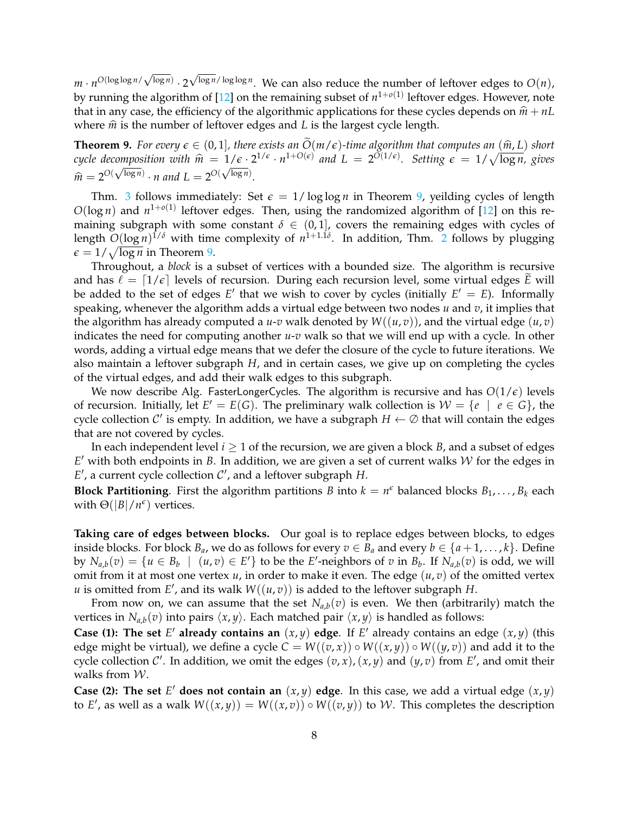$m \cdot n^{O(\log \log n / \sqrt{\log n})} \cdot 2$  $\sqrt{\log n}/\log \log n$ . We can also reduce the number of leftover edges to  $O(n)$ , by running the algorithm of [\[12\]](#page-27-1) on the remaining subset of  $n^{1+o(1)}$  leftover edges. However, note that in any case, the efficiency of the algorithmic applications for these cycles depends on  $\hat{m} + nL$ where  $\hat{m}$  is the number of leftover edges and *L* is the largest cycle length.

<span id="page-8-0"></span>**Theorem 9.** For every  $\epsilon \in (0,1]$ , there exists an  $\tilde{O}(m/\epsilon)$ -time algorithm that computes an  $(\hat{m}, L)$  short *cycle decomposition with*  $\hat{m} = 1/\epsilon \cdot 2^{1/\epsilon} \cdot n^{1+O(\epsilon)}$  and  $L = 2^{O(1/\epsilon)}$ . Setting  $\epsilon = 1/\sqrt{\log n}$ , gives  $\hat{m} = 2^{O(\sqrt{\log n})} \cdot n$  and  $L = 2^{O(\sqrt{\log n})}$ .

Thm. [3](#page-3-3) follows immediately: Set  $\epsilon = 1/\log \log n$  in Theorem [9,](#page-8-0) yeilding cycles of length  $O(\log n)$  and  $n^{1+o(1)}$  leftover edges. Then, using the randomized algorithm of [\[12\]](#page-27-1) on this remaining subgraph with some constant  $\delta \in (0,1]$ , covers the remaining edges with cycles of length  $O(\log n)^{1/\delta}$  with time complexity of  $n^{1+1.1\delta}$ . In addition, Thm. [2](#page-3-2) follows by plugging  $\epsilon = 1/\sqrt{\log n}$  in Theorem [9.](#page-8-0)

Throughout, a *block* is a subset of vertices with a bounded size. The algorithm is recursive and has  $\ell = \lfloor 1/\epsilon \rfloor$  levels of recursion. During each recursion level, some virtual edges *E* will be added to the set of edges  $E'$  that we wish to cover by cycles (initially  $E' = E$ ). Informally speaking, whenever the algorithm adds a virtual edge between two nodes *u* and *v*, it implies that the algorithm has already computed a  $u$ -*v* walk denoted by  $W((u, v))$ , and the virtual edge  $(u, v)$ indicates the need for computing another *u*-*v* walk so that we will end up with a cycle. In other words, adding a virtual edge means that we defer the closure of the cycle to future iterations. We also maintain a leftover subgraph *H*, and in certain cases, we give up on completing the cycles of the virtual edges, and add their walk edges to this subgraph.

We now describe Alg. FasterLongerCycles. The algorithm is recursive and has  $O(1/\epsilon)$  levels of recursion. Initially, let  $E' = E(G)$ . The preliminary walk collection is  $W = \{e \mid e \in G\}$ , the cycle collection  $C'$  is empty. In addition, we have a subgraph  $H \leftarrow \emptyset$  that will contain the edges that are not covered by cycles.

In each independent level  $i \geq 1$  of the recursion, we are given a block *B*, and a subset of edges  $E'$  with both endpoints in  $B$ . In addition, we are given a set of current walks  $W$  for the edges in  $E'$ , a current cycle collection  $C'$ , and a leftover subgraph  $H$ .

**Block Partitioning**. First the algorithm partitions *B* into  $k = n^e$  balanced blocks  $B_1, \ldots, B_k$  each with  $\Theta(|B|/n^{\epsilon})$  vertices.

**Taking care of edges between blocks.** Our goal is to replace edges between blocks, to edges inside blocks. For block  $B_a$ , we do as follows for every  $v \in B_a$  and every  $b \in \{a+1,\ldots,k\}$ . Define by  $N_{a,b}(v) = \{u \in B_b \mid (u,v) \in E'\}$  to be the E'-neighbors of v in  $B_b$ . If  $N_{a,b}(v)$  is odd, we will omit from it at most one vertex *u*, in order to make it even. The edge (*u*, *v*) of the omitted vertex  $u$  is omitted from  $E'$ , and its walk  $W((u, v))$  is added to the leftover subgraph *H*.

From now on, we can assume that the set  $N_{a,b}(v)$  is even. We then (arbitrarily) match the vertices in  $N_{a,b}(v)$  into pairs  $\langle x, y \rangle$ . Each matched pair  $\langle x, y \rangle$  is handled as follows:

**Case (1): The set** *E'* already contains an  $(x, y)$  edge. If *E'* already contains an edge  $(x, y)$  (this edge might be virtual), we define a cycle  $C = W((v, x)) \circ W((x, y)) \circ W((y, v))$  and add it to the cycle collection C'. In addition, we omit the edges  $(v, x)$ ,  $(x, y)$  and  $(y, v)$  from E', and omit their walks from  $W$ .

**Case (2): The set** *E*<sup>'</sup> does not contain an  $(x, y)$  edge. In this case, we add a virtual edge  $(x, y)$ to *E'*, as well as a walk  $W((x,y)) = W((x,v)) \circ W((v,y))$  to W. This completes the description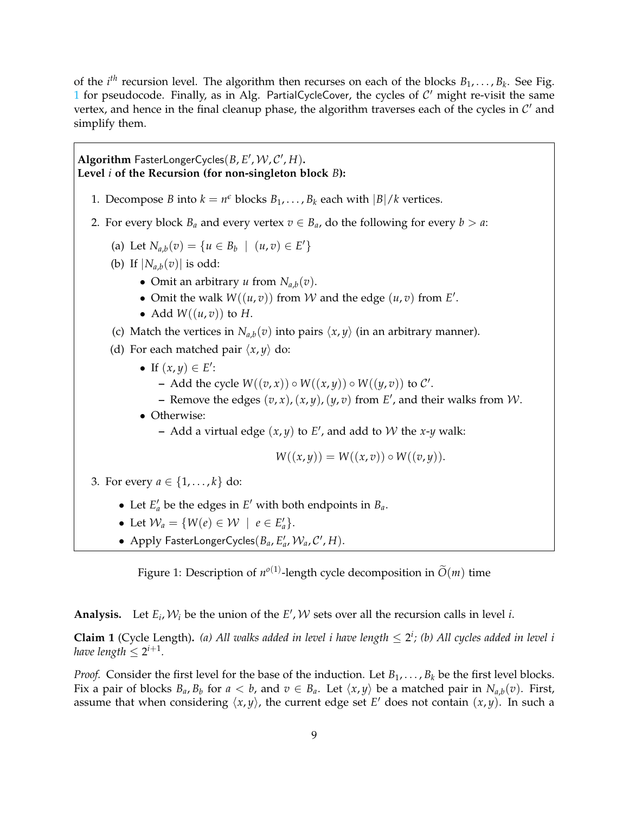of the  $i^{th}$  recursion level. The algorithm then recurses on each of the blocks  $B_1, \ldots, B_k$ . See Fig. [1](#page-9-0) for pseudocode. Finally, as in Alg. PartialCycleCover, the cycles of  $C'$  might re-visit the same vertex, and hence in the final cleanup phase, the algorithm traverses each of the cycles in  $\mathcal{C}'$  and simplify them.

# $\mathbf{Algorithm} \ \mathsf{FasterLongerCycles}(B, E', \mathcal{W}, \mathcal{C}', H).$ **Level** *i* **of the Recursion (for non-singleton block** *B***):** 1. Decompose *B* into  $k = n^{\epsilon}$  blocks  $B_1, \ldots, B_k$  each with  $|B|/k$  vertices. 2. For every block  $B_a$  and every vertex  $v \in B_a$ , do the following for every  $b > a$ : (a) Let  $N_{a,b}(v) = \{u \in B_b \mid (u,v) \in E'\}$ (b) If  $|N_{a,b}(v)|$  is odd: • Omit an arbitrary *u* from  $N_{a,b}(v)$ . • Omit the walk  $W((u, v))$  from  $W$  and the edge  $(u, v)$  from  $E'$ . • Add  $W((u, v))$  to *H*. (c) Match the vertices in  $N_{a,b}(v)$  into pairs  $\langle x, y \rangle$  (in an arbitrary manner). (d) For each matched pair  $\langle x, y \rangle$  do: • If  $(x, y) \in E'$ : **–** Add the cycle  $W((v, x)) \circ W((x, y)) \circ W((y, v))$  to  $\mathcal{C}'$ . **–** Remove the edges  $(v, x)$ ,  $(x, y)$ ,  $(y, v)$  from  $E'$ , and their walks from  $W$ . • Otherwise:  $-$  Add a virtual edge  $(x, y)$  to  $E'$ , and add to  $W$  the  $x$ - $y$  walk:  $W((x,y)) = W((x,v)) \circ W((v,y)).$ 3. For every  $a \in \{1, ..., k\}$  do: • Let  $E'_a$  be the edges in  $E'$  with both endpoints in  $B_a$ . • Let  $\mathcal{W}_a = \{ W(e) \in \mathcal{W} \mid e \in E'_a \}.$

<span id="page-9-0"></span>• Apply FasterLongerCycles $(B_a, E'_a, W_a, C', H)$ .

Figure 1: Description of  $n^{o(1)}$ -length cycle decomposition in  $\widetilde{O}(m)$  time

**Analysis.** Let  $E_i$ ,  $W_i$  be the union of the  $E'$ ,  $W$  sets over all the recursion calls in level *i*.

<span id="page-9-1"></span>**Claim 1** (Cycle Length). (a) All walks added in level i have length  $\leq 2^i$ ; (b) All cycles added in level i *have length*  $\leq 2^{i+1}$ *.* 

*Proof.* Consider the first level for the base of the induction. Let  $B_1, \ldots, B_k$  be the first level blocks. Fix a pair of blocks  $B_a$ ,  $B_b$  for  $a < b$ , and  $v \in B_a$ . Let  $\langle x, y \rangle$  be a matched pair in  $N_{a,b}(v)$ . First, assume that when considering  $\langle x, y \rangle$ , the current edge set *E*' does not contain  $(x, y)$ . In such a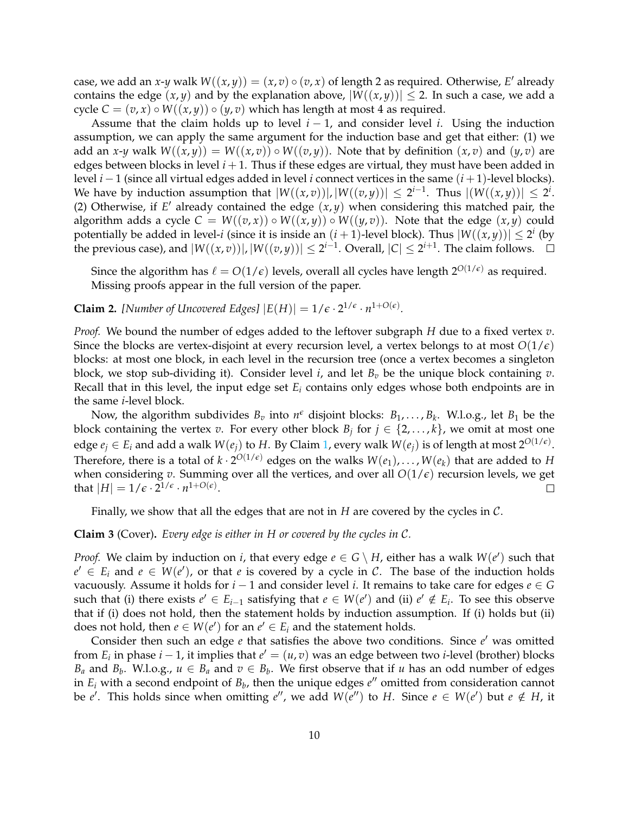case, we add an *x*-*y* walk  $W((x,y)) = (x,v) \circ (v,x)$  of length 2 as required. Otherwise, *E'* already contains the edge  $(x, y)$  and by the explanation above,  $|W((x, y))| \le 2$ . In such a case, we add a cycle  $C = (v, x) \circ W((x, y)) \circ (y, v)$  which has length at most 4 as required.

Assume that the claim holds up to level  $i - 1$ , and consider level  $i$ . Using the induction assumption, we can apply the same argument for the induction base and get that either: (1) we add an *x*-*y* walk  $W((x,y)) = W((x,v)) \circ W((v,y))$ . Note that by definition  $(x,v)$  and  $(y,v)$  are edges between blocks in level  $i+1$ . Thus if these edges are virtual, they must have been added in level *i* − 1 (since all virtual edges added in level *i* connect vertices in the same (*i* + 1)-level blocks). We have by induction assumption that  $|W((x,v))|, |W((v,y))| \leq 2^{i-1}$ . Thus  $|(W((x,y))| \leq 2^{i}$ . (2) Otherwise, if  $E'$  already contained the edge  $(x, y)$  when considering this matched pair, the algorithm adds a cycle  $C = W((v, x)) \circ W((x, y)) \circ W((y, v))$ . Note that the edge  $(x, y)$  could potentially be added in level-*i* (since it is inside an  $(i + 1)$ -level block). Thus  $|W((x, y))| \leq 2^{i}$  (by the previous case), and  $|W((x,v))|$ ,  $|W((v,y))| \leq 2^{i-1}$ . Overall,  $|C| \leq 2^{i+1}$ . The claim follows.

Since the algorithm has  $\ell = O(1/\epsilon)$  levels, overall all cycles have length  $2^{O(1/\epsilon)}$  as required. Missing proofs appear in the full version of the paper.

**Claim 2.** [Number of Uncovered Edges]  $|E(H)| = 1/\epsilon \cdot 2^{1/\epsilon} \cdot n^{1+O(\epsilon)}$ .

*Proof.* We bound the number of edges added to the leftover subgraph *H* due to a fixed vertex *v*. Since the blocks are vertex-disjoint at every recursion level, a vertex belongs to at most  $O(1/\epsilon)$ blocks: at most one block, in each level in the recursion tree (once a vertex becomes a singleton block, we stop sub-dividing it). Consider level *i*, and let  $B_v$  be the unique block containing *v*. Recall that in this level, the input edge set *E<sup>i</sup>* contains only edges whose both endpoints are in the same *i*-level block.

Now, the algorithm subdivides  $B_v$  into  $n^{\epsilon}$  disjoint blocks:  $B_1, \ldots, B_k$ . W.l.o.g., let  $B_1$  be the block containing the vertex *v*. For every other block  $B_j$  for  $j \in \{2, ..., k\}$ , we omit at most one edge  $e_j \in E_i$  and add a walk  $W(e_j)$  to  $H$ . By Claim [1,](#page-9-1) every walk  $W(e_j)$  is of length at most  $2^{O(1/\epsilon)}$ . Therefore, there is a total of  $k \cdot 2^{O(1/\epsilon)}$  edges on the walks  $W(e_1), \ldots, W(e_k)$  that are added to  $H$ when considering *v*. Summing over all the vertices, and over all  $O(1/\epsilon)$  recursion levels, we get that  $|H| = 1/\epsilon \cdot 2^{1/\epsilon} \cdot n^{1+O(\epsilon)}$ . П

Finally, we show that all the edges that are not in *H* are covered by the cycles in C.

#### **Claim 3** (Cover)**.** *Every edge is either in H or covered by the cycles in* C*.*

*Proof.* We claim by induction on *i*, that every edge  $e \in G \setminus H$ , either has a walk  $W(e')$  such that  $e' \in E_i$  and  $e \in W(e')$ , or that *e* is covered by a cycle in C. The base of the induction holds vacuously. Assume it holds for *i* − 1 and consider level *i*. It remains to take care for edges *e* ∈ *G* such that (i) there exists  $e' \in E_{i-1}$  satisfying that  $e \in W(e')$  and (ii)  $e' \notin E_i$ . To see this observe that if (i) does not hold, then the statement holds by induction assumption. If (i) holds but (ii) does not hold, then  $e \in W(e')$  for an  $e' \in E_i$  and the statement holds.

Consider then such an edge *e* that satisfies the above two conditions. Since *e'* was omitted from  $E_i$  in phase  $i - 1$ , it implies that  $e' = (u, v)$  was an edge between two *i*-level (brother) blocks *B*<sub>*a*</sub> and *B*<sub>*b*</sub>. W.l.o.g.,  $u \in B_a$  and  $v \in B_b$ . We first observe that if *u* has an odd number of edges in  $E_i$  with a second endpoint of  $B_b$ , then the unique edges  $e''$  omitted from consideration cannot be *e'*. This holds since when omitting *e''*, we add  $W(e'')$  to *H*. Since  $e \in W(e')$  but  $e \notin H$ , it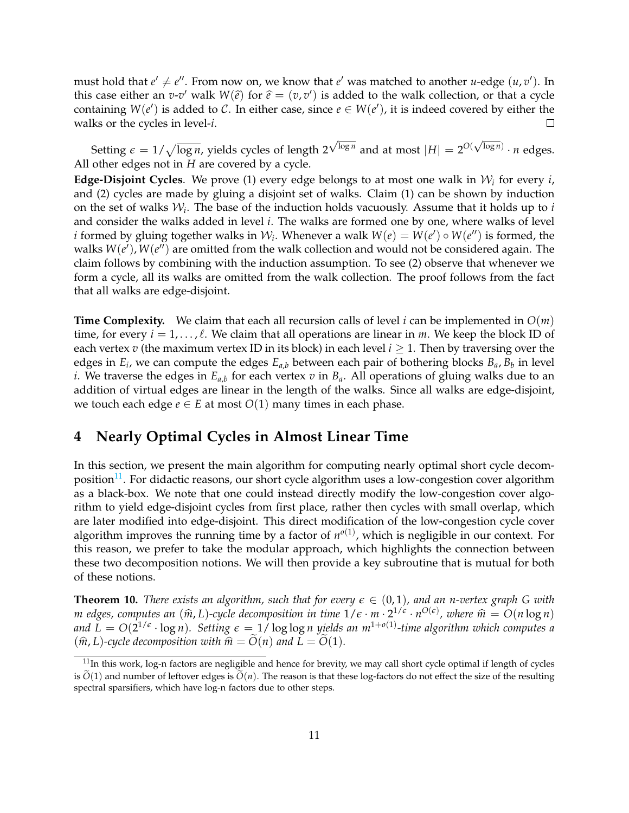must hold that  $e' \neq e''$ . From now on, we know that  $e'$  was matched to another *u*-edge  $(u, v')$ . In this case either an *v*-*v*' walk  $W(\hat{e})$  for  $\hat{e} = (v, v')$  is added to the walk collection, or that a cycle containing  $W(e')$  is added to  $C$ . In either case, since  $e \in W(e')$  it is indeed covered by either the containing  $W(e')$  is added to C. In either case, since  $e \in W(e')$ , it is indeed covered by either the walks or the cycles in level-*i*. П

Setting  $\epsilon = 1/\sqrt{\log n}$ , yields cycles of length 2  $\sqrt{\log n}$  and at most  $|H| = 2^{O(\sqrt{\log n})} \cdot n$  edges. All other edges not in *H* are covered by a cycle.

**Edge-Disjoint Cycles**. We prove (1) every edge belongs to at most one walk in W*<sup>i</sup>* for every *i*, and (2) cycles are made by gluing a disjoint set of walks. Claim (1) can be shown by induction on the set of walks  $\mathcal{W}_i$ . The base of the induction holds vacuously. Assume that it holds up to *i* and consider the walks added in level *i*. The walks are formed one by one, where walks of level *i* formed by gluing together walks in  $\mathcal{W}_i$ . Whenever a walk  $W(e) = W(e') \circ W(e'')$  is formed, the walks  $W(e'), W(e'')$  are omitted from the walk collection and would not be considered again. The claim follows by combining with the induction assumption. To see (2) observe that whenever we form a cycle, all its walks are omitted from the walk collection. The proof follows from the fact that all walks are edge-disjoint.

**Time Complexity.** We claim that each all recursion calls of level *i* can be implemented in *O*(*m*) time, for every  $i = 1, \ldots, \ell$ . We claim that all operations are linear in *m*. We keep the block ID of each vertex *v* (the maximum vertex ID in its block) in each level  $i \geq 1$ . Then by traversing over the edges in *E<sup>i</sup>* , we can compute the edges *Ea*,*<sup>b</sup>* between each pair of bothering blocks *Ba*, *B<sup>b</sup>* in level *i*. We traverse the edges in  $E_{a,b}$  for each vertex  $v$  in  $B_a$ . All operations of gluing walks due to an addition of virtual edges are linear in the length of the walks. Since all walks are edge-disjoint, we touch each edge *e* ∈ *E* at most *O*(1) many times in each phase.

# <span id="page-11-0"></span>**4 Nearly Optimal Cycles in Almost Linear Time**

In this section, we present the main algorithm for computing nearly optimal short cycle decom-position<sup>[11](#page-11-1)</sup>. For didactic reasons, our short cycle algorithm uses a low-congestion cover algorithm as a black-box. We note that one could instead directly modify the low-congestion cover algorithm to yield edge-disjoint cycles from first place, rather then cycles with small overlap, which are later modified into edge-disjoint. This direct modification of the low-congestion cycle cover algorithm improves the running time by a factor of  $n^{\circ(1)}$ , which is negligible in our context. For this reason, we prefer to take the modular approach, which highlights the connection between these two decomposition notions. We will then provide a key subroutine that is mutual for both of these notions.

<span id="page-11-2"></span>**Theorem 10.** *There exists an algorithm, such that for every*  $\epsilon \in (0,1)$ *, and an n-vertex graph G with m* edges, computes an  $(\widehat{m}, L)$ -cycle decomposition in time  $1/\epsilon \cdot m \cdot 2^{1/\epsilon} \cdot n^{O(\epsilon)}$ , where  $\widehat{m} = O(n \log n)$ <br>and  $I = O(2^{1/\epsilon} \cdot \log n)$ . Setting  $\epsilon = 1/\log \log n$  widds an  $m^{1+o(1)}$  time algorithm which computes a and  $L = O(2^{1/\epsilon} \cdot \log n)$ . Setting  $\epsilon = 1/\log \log n$  yields an m<sup>1+o(1)</sup>-time algorithm which computes a  $(\hat{m}, L)$ -cycle decomposition with  $\hat{m} = \tilde{O}(n)$  and  $L = \tilde{O}(1)$ .

<span id="page-11-1"></span> $11$ In this work, log-n factors are negligible and hence for brevity, we may call short cycle optimal if length of cycles is  $\tilde{O}(1)$  and number of leftover edges is  $\tilde{O}(n)$ . The reason is that these log-factors do not effect the size of the resulting spectral sparsifiers, which have log-n factors due to other steps.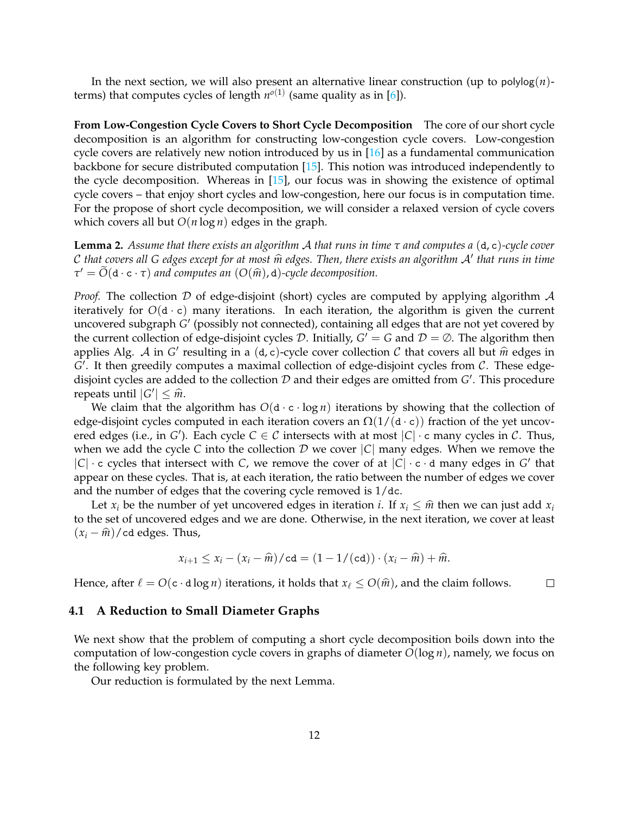In the next section, we will also present an alternative linear construction (up to  $polylog(n)$ terms) that computes cycles of length  $n^{o(1)}$  (same quality as in [\[6\]](#page-27-0)).

**From Low-Congestion Cycle Covers to Short Cycle Decomposition** The core of our short cycle decomposition is an algorithm for constructing low-congestion cycle covers. Low-congestion cycle covers are relatively new notion introduced by us in [\[16\]](#page-28-1) as a fundamental communication backbone for secure distributed computation [\[15\]](#page-28-2). This notion was introduced independently to the cycle decomposition. Whereas in [\[15\]](#page-28-2), our focus was in showing the existence of optimal cycle covers – that enjoy short cycles and low-congestion, here our focus is in computation time. For the propose of short cycle decomposition, we will consider a relaxed version of cycle covers which covers all but  $O(n \log n)$  edges in the graph.

<span id="page-12-1"></span>**Lemma 2.** *Assume that there exists an algorithm* A *that runs in time τ and computes a* (d, c)*-cycle cover* C that covers all G edges except for at most  $\hat{m}$  edges. Then, there exists an algorithm  $A'$  that runs in time<br> $\tau' = \tilde{O}(d_1, \epsilon, \tau)$  and computes an  $(O(\hat{m}), d)$  cycle decomposition  $\tau' = \widetilde{O}(d \cdot c \cdot \tau)$  *and computes an*  $(O(\widehat{m}), d)$ *-cycle decomposition.* 

*Proof.* The collection  $D$  of edge-disjoint (short) cycles are computed by applying algorithm  $\mathcal A$ iteratively for  $O(d \cdot c)$  many iterations. In each iteration, the algorithm is given the current uncovered subgraph *G'* (possibly not connected), containing all edges that are not yet covered by the current collection of edge-disjoint cycles  $D$ . Initially,  $G' = G$  and  $D = \emptyset$ . The algorithm then applies Alg. A in *G*<sup> $\prime$ </sup> resulting in a (d, c)-cycle cover collection *C* that covers all but  $\hat{m}$  edges in *G*<sup> $\prime$ </sup>. It than creadily computed a may imal collection of edge disjoint evalue from *C*. These edges G'. It then greedily computes a maximal collection of edge-disjoint cycles from C. These edgedisjoint cycles are added to the collection  $D$  and their edges are omitted from G'. This procedure repeats until  $|G'| \leq \hat{m}$ .<br>We claim that the

We claim that the algorithm has  $O(d \cdot c \cdot \log n)$  iterations by showing that the collection of edge-disjoint cycles computed in each iteration covers an  $\Omega(1/(\mathbf{d} \cdot \mathbf{c}))$  fraction of the yet uncovered edges (i.e., in *G*<sup>'</sup>). Each cycle  $C \in \mathcal{C}$  intersects with at most  $|C| \cdot c$  many cycles in  $\mathcal{C}$ . Thus, when we add the cycle *C* into the collection  $D$  we cover  $|C|$  many edges. When we remove the  $|C| \cdot c$  cycles that intersect with *C*, we remove the cover of at  $|C| \cdot c \cdot d$  many edges in *G* that appear on these cycles. That is, at each iteration, the ratio between the number of edges we cover and the number of edges that the covering cycle removed is 1/dc.

Let  $x_i$  be the number of yet uncovered edges in iteration *i*. If  $x_i \leq \hat{m}$  then we can just add  $x_i$ to the set of uncovered edges and we are done. Otherwise, in the next iteration, we cover at least  $(x_i - \hat{m})$ /cd edges. Thus,

$$
x_{i+1} \leq x_i - (x_i - \widehat{m})/\mathtt{cd} = (1 - 1/(\mathtt{cd})) \cdot (x_i - \widehat{m}) + \widehat{m}.
$$

Hence, after  $\ell = O(c \cdot d \log n)$  iterations, it holds that  $x_{\ell} \le O(\hat{m})$ , and the claim follows.  $\Box$ 

#### <span id="page-12-0"></span>**4.1 A Reduction to Small Diameter Graphs**

We next show that the problem of computing a short cycle decomposition boils down into the computation of low-congestion cycle covers in graphs of diameter *O*(log *n*), namely, we focus on the following key problem.

<span id="page-12-2"></span>Our reduction is formulated by the next Lemma.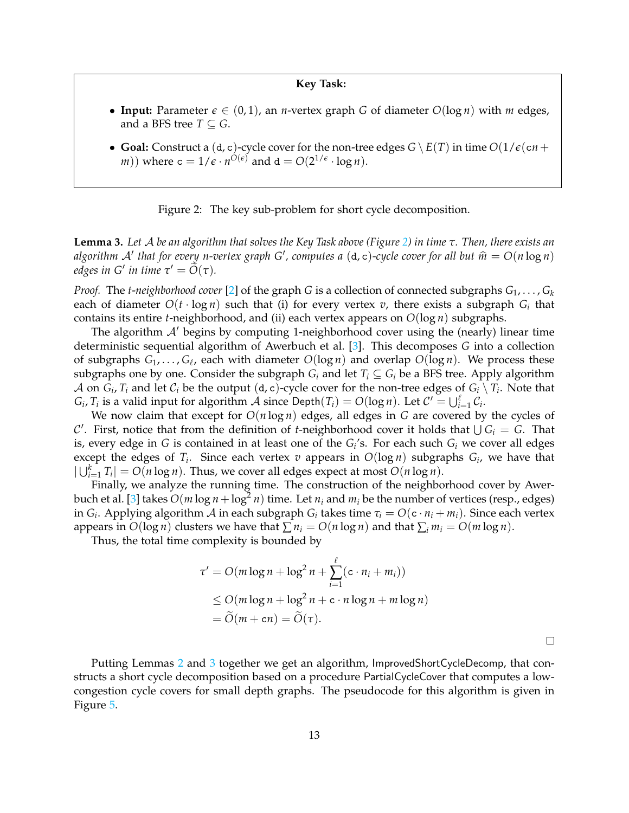### **Key Task:**

- **Input:** Parameter  $\epsilon \in (0,1)$ , an *n*-vertex graph *G* of diameter  $O(\log n)$  with *m* edges, and a BFS tree  $T \subseteq G$ .
- <span id="page-13-0"></span>• **Goal:** Construct a (d, c)-cycle cover for the non-tree edges  $G \setminus E(T)$  in time  $O(1/\epsilon(\text{cn} +$  $(m)$ ) where  $c = 1/\epsilon \cdot n^{O(\epsilon)}$  and  $d = O(2^{1/\epsilon} \cdot \log n)$ .

Figure 2: The key sub-problem for short cycle decomposition.

**Lemma 3.** *Let* A *be an algorithm that solves the Key Task above (Figure [2\)](#page-13-0) in time τ. Then, there exists an algorithm*  $A'$  *that for every n-vertex graph*  $G'$ , computes a  $(d, c)$ -cycle cover for all but  $\hat{m} = O(n \log n)$ <br>adoes in  $G'$  in time  $\tilde{\sigma}' = \tilde{O}(\tau)$ *edges in G' in time*  $\tau' = \tilde{O}(\tau)$ *.* 

*Proof.* The *t-neighborhood cover* [\[2\]](#page-27-9) of the graph *G* is a collection of connected subgraphs  $G_1, \ldots, G_k$ each of diameter  $O(t \cdot \log n)$  such that (i) for every vertex  $v$ , there exists a subgraph  $G_i$  that contains its entire *t*-neighborhood, and (ii) each vertex appears on *O*(log *n*) subgraphs.

The algorithm  $A'$  begins by computing 1-neighborhood cover using the (nearly) linear time deterministic sequential algorithm of Awerbuch et al. [\[3\]](#page-27-10). This decomposes *G* into a collection of subgraphs *G*1, . . . , *G*` , each with diameter *O*(log *n*) and overlap *O*(log *n*). We process these subgraphs one by one. Consider the subgraph  $G_i$  and let  $T_i \subseteq G_i$  be a BFS tree. Apply algorithm  ${\cal A}$  on  $G_i$ ,  $T_i$  and let  ${\cal C}_i$  be the output (d, c)-cycle cover for the non-tree edges of  $G_i \setminus T_i$ . Note that  $G_i$ ,  $T_i$  is a valid input for algorithm  $\hat{A}$  since Depth $(T_i) = O(\log n)$ . Let  $C' = \bigcup_{i=1}^{\ell} C_i$ .

We now claim that except for  $O(n \log n)$  edges, all edges in *G* are covered by the cycles of C'. First, notice that from the definition of *t*-neighborhood cover it holds that  $\bigcup G_i = G$ . That is, every edge in  $G$  is contained in at least one of the  $G_{i}{'}$ s. For each such  $G_{i}$  we cover all edges except the edges of  $T_i$ . Since each vertex  $v$  appears in  $O(\log n)$  subgraphs  $G_i$ , we have that  $|\bigcup_{i=1}^{k} T_i| = O(n \log n)$ . Thus, we cover all edges expect at most  $O(n \log n)$ .

Finally, we analyze the running time. The construction of the neighborhood cover by Awer-buch et al. [\[3\]](#page-27-10) takes  $O(m \log n + \log^2 n)$  time. Let  $n_i$  and  $m_i$  be the number of vertices (resp., edges) in *G<sup>i</sup>* . Applying algorithm A in each subgraph *G<sup>i</sup>* takes time *τ<sup>i</sup>* = *O*(c · *n<sup>i</sup>* + *mi*). Since each vertex appears in  $O(\log n)$  clusters we have that  $\sum n_i = O(n \log n)$  and that  $\sum_i m_i = O(m \log n)$ .

Thus, the total time complexity is bounded by

$$
\tau' = O(m \log n + \log^2 n + \sum_{i=1}^{\ell} (c \cdot n_i + m_i))
$$
  
\$\leq\$ O(m \log n + \log^2 n + c \cdot n \log n + m \log n)\$  
=  $\widetilde{O}(m + cn) = \widetilde{O}(\tau).$ 

Putting Lemmas [2](#page-12-1) and [3](#page-12-2) together we get an algorithm, ImprovedShortCycleDecomp, that constructs a short cycle decomposition based on a procedure PartialCycleCover that computes a lowcongestion cycle covers for small depth graphs. The pseudocode for this algorithm is given in Figure [5.](#page-18-0)

 $\Box$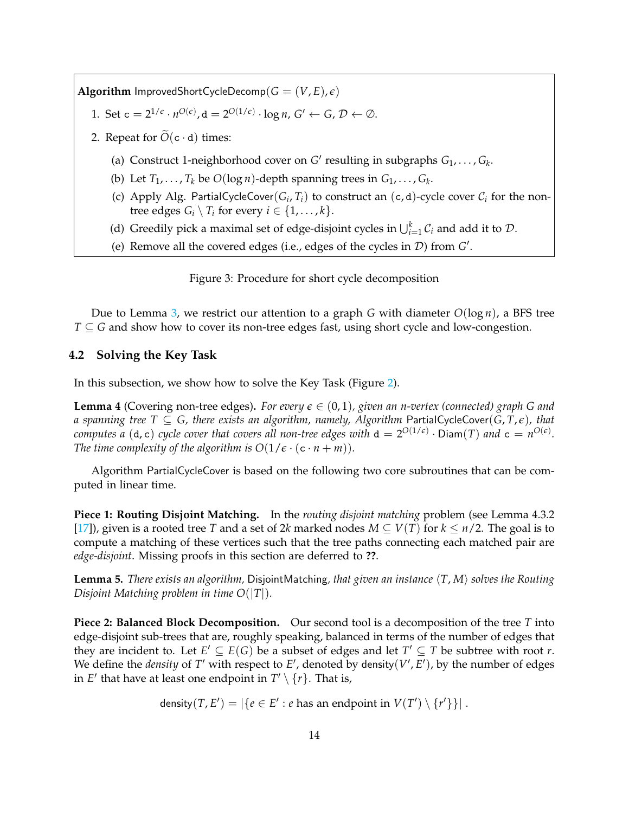**Algorithm** ImprovedShortCycleDecomp( $G = (V, E), \epsilon$ )

- 1. Set  $c = 2^{1/\epsilon} \cdot n^{O(\epsilon)}$ ,  $d = 2^{O(1/\epsilon)} \cdot \log n$ ,  $G' \leftarrow G$ ,  $\mathcal{D} \leftarrow \emptyset$ .
- 2. Repeat for  $\widetilde{O}(c \cdot d)$  times:
	- (a) Construct 1-neighborhood cover on  $G'$  resulting in subgraphs  $G_1, \ldots, G_k$ .
	- (b) Let  $T_1, \ldots, T_k$  be  $O(\log n)$ -depth spanning trees in  $G_1, \ldots, G_k$ .
	- (c) Apply Alg. PartialCycleCover( $G_i$ ,  $T_i$ ) to construct an (c, d)-cycle cover  $C_i$  for the nontree edges  $G_i \setminus T_i$  for every  $i \in \{1, \ldots, k\}.$
	- (d) Greedily pick a maximal set of edge-disjoint cycles in  $\bigcup_{i=1}^{k} C_i$  and add it to  $D$ .
	- (e) Remove all the covered edges (i.e., edges of the cycles in  $D$ ) from  $G'$ .

Figure 3: Procedure for short cycle decomposition

Due to Lemma [3,](#page-12-2) we restrict our attention to a graph *G* with diameter *O*(log *n*), a BFS tree *T* ⊆ *G* and show how to cover its non-tree edges fast, using short cycle and low-congestion.

## <span id="page-14-0"></span>**4.2 Solving the Key Task**

In this subsection, we show how to solve the Key Task (Figure [2\)](#page-13-0).

<span id="page-14-2"></span>**Lemma 4** (Covering non-tree edges). For every  $\epsilon \in (0,1)$ , given an n-vertex (connected) graph G and *a spanning tree*  $T \subseteq G$ , there exists an algorithm, namely, Algorithm PartialCycleCover( $\overline{G}$ ,  $\overline{T}$ , $\epsilon$ ), that computes a (d, c) cycle cover that covers all non-tree edges with  $d=2^{O(1/\epsilon)}\cdot \textsf{Diam}(T)$  and  $\mathsf{c}=n^{O(\epsilon)}.$ *The time complexity of the algorithm is*  $O(1/\epsilon \cdot (c \cdot n + m))$ *.* 

Algorithm PartialCycleCover is based on the following two core subroutines that can be computed in linear time.

**Piece 1: Routing Disjoint Matching.** In the *routing disjoint matching* problem (see Lemma 4.3.2 [\[17\]](#page-28-4)), given is a rooted tree *T* and a set of 2*k* marked nodes  $M \subseteq V(T)$  for  $k \leq n/2$ . The goal is to compute a matching of these vertices such that the tree paths connecting each matched pair are *edge-disjoint*. Missing proofs in this section are deferred to **??**.

<span id="page-14-1"></span>**Lemma 5.** *There exists an algorithm,* DisjointMatching, that given an instance  $\langle T, M \rangle$  solves the Routing *Disjoint Matching problem in time O*(|*T*|)*.*

**Piece 2: Balanced Block Decomposition.** Our second tool is a decomposition of the tree *T* into edge-disjoint sub-trees that are, roughly speaking, balanced in terms of the number of edges that they are incident to. Let  $E' \subseteq E(G)$  be a subset of edges and let  $T' \subseteq T$  be subtree with root *r*. We define the *density* of  $T'$  with respect to  $E'$ , denoted by density( $V', E'$ ), by the number of edges in  $E'$  that have at least one endpoint in  $T' \setminus \{r\}$ . That is,

density $(T, E') = |\{e \in E': e \text{ has an endpoint in } V(T') \setminus \{r'\}\}|$ .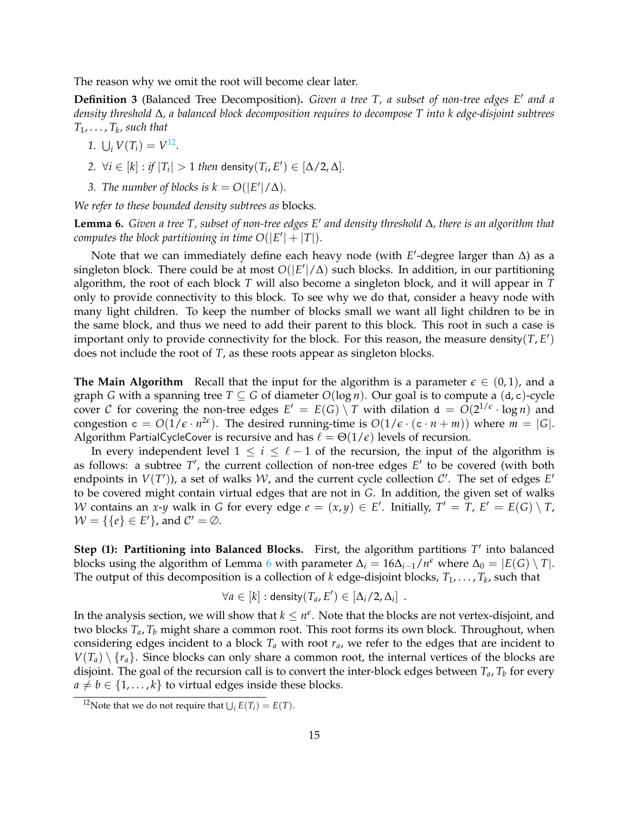The reason why we omit the root will become clear later.

<span id="page-15-2"></span>**Definition 3** (Balanced Tree Decomposition). Given a tree T, a subset of non-tree edges E' and a *density threshold* ∆*, a balanced block decomposition requires to decompose T into k edge-disjoint subtrees*  $T_1, \ldots, T_k$ , such that

$$
1. \bigcup_i V(T_i) = V^{12}.
$$

- 2.  $\forall i \in [k]: if |T_i| > 1$  *then* density $(T_i, E') \in [\Delta/2, \Delta]$ *.*
- *3. The number of blocks is*  $k = O(|E'|/\Delta)$ *.*

*We refer to these bounded density subtrees as* blocks*.*

<span id="page-15-1"></span>**Lemma 6.** *Given a tree T, subset of non-tree edges E*<sup>0</sup> *and density threshold* ∆*, there is an algorithm that computes the block partitioning in time*  $O(|E'| + |T|)$ *.* 

Note that we can immediately define each heavy node (with *E'*-degree larger than ∆) as a singleton block. There could be at most  $O(|E'|/\Delta)$  such blocks. In addition, in our partitioning algorithm, the root of each block *T* will also become a singleton block, and it will appear in *T* only to provide connectivity to this block. To see why we do that, consider a heavy node with many light children. To keep the number of blocks small we want all light children to be in the same block, and thus we need to add their parent to this block. This root in such a case is important only to provide connectivity for the block. For this reason, the measure density( $T$ , $E'$ ) does not include the root of *T*, as these roots appear as singleton blocks.

**The Main Algorithm** Recall that the input for the algorithm is a parameter  $\epsilon \in (0,1)$ , and a graph *G* with a spanning tree  $T \subseteq G$  of diameter  $O(\log n)$ . Our goal is to compute a  $(d, c)$ -cycle cover C for covering the non-tree edges  $E' = E(G) \setminus T$  with dilation  $d = O(2^{1/\epsilon} \cdot \log n)$  and congestion  $c = O(1/\epsilon \cdot n^{2\epsilon})$ . The desired running-time is  $O(1/\epsilon \cdot (c \cdot n + m))$  where  $m = |G|$ . Algorithm PartialCycleCover is recursive and has  $\ell = \Theta(1/\epsilon)$  levels of recursion.

In every independent level  $1 \leq i \leq \ell - 1$  of the recursion, the input of the algorithm is as follows: a subtree  $T'$ , the current collection of non-tree edges  $E'$  to be covered (with both endpoints in  $V(T')$ ), a set of walks W, and the current cycle collection  $\mathcal{C}'$ . The set of edges  $E'$ to be covered might contain virtual edges that are not in *G*. In addition, the given set of walks W contains an *x*-*y* walk in *G* for every edge  $e = (x, y) \in E'$ . Initially,  $T' = T$ ,  $E' = E(G) \setminus T$ ,  $\mathcal{W} = \{\{e\} \in E'\}$ , and  $\mathcal{C}' = \emptyset$ .

**Step (1): Partitioning into Balanced Blocks.** First, the algorithm partitions T' into balanced blocks using the algorithm of Lemma [6](#page-15-1) with parameter  $\Delta_i = 16\Delta_{i-1}/n^e$  where  $\Delta_0 = |E(G) \setminus T|$ . The output of this decomposition is a collection of *k* edge-disjoint blocks,  $T_1, \ldots, T_k$ , such that

$$
\forall a \in [k]: density(T_a, E') \in [\Delta_i/2, \Delta_i] .
$$

In the analysis section, we will show that  $k \leq n^{\epsilon}$ . Note that the blocks are not vertex-disjoint, and two blocks *Ta*, *T<sup>b</sup>* might share a common root. This root forms its own block. Throughout, when considering edges incident to a block  $T_a$  with root  $r_a$ , we refer to the edges that are incident to  $V(T_a) \setminus \{r_a\}$ . Since blocks can only share a common root, the internal vertices of the blocks are disjoint. The goal of the recursion call is to convert the inter-block edges between *Ta*, *T<sup>b</sup>* for every  $a \neq b \in \{1, \ldots, k\}$  to virtual edges inside these blocks.

<span id="page-15-0"></span><sup>&</sup>lt;sup>12</sup>Note that we do not require that  $\bigcup_i E(T_i) = E(T)$ .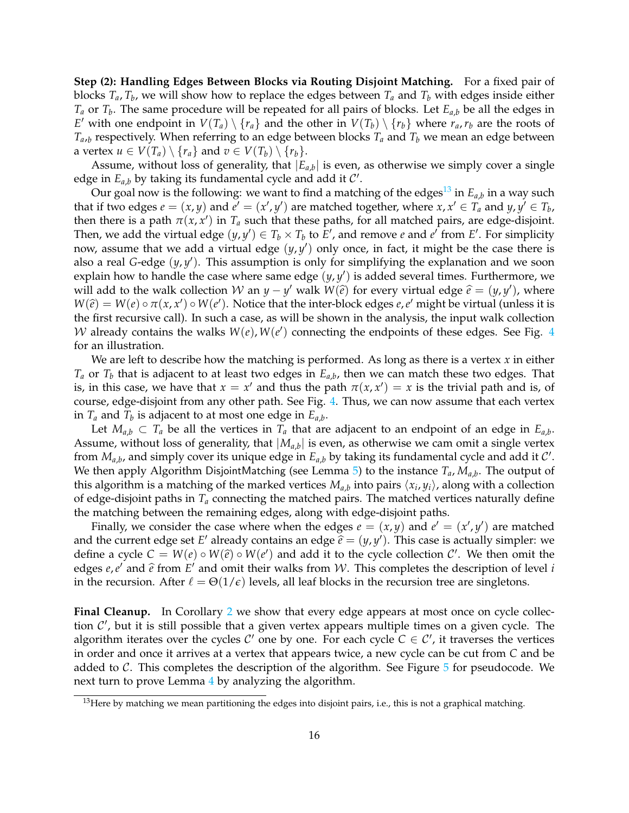**Step (2): Handling Edges Between Blocks via Routing Disjoint Matching.** For a fixed pair of blocks  $T_a$ ,  $T_b$ , we will show how to replace the edges between  $T_a$  and  $T_b$  with edges inside either *T<sup>a</sup>* or *T<sup>b</sup>* . The same procedure will be repeated for all pairs of blocks. Let *Ea*,*<sup>b</sup>* be all the edges in *E*' with one endpoint in  $V(T_a) \setminus \{r_a\}$  and the other in  $V(T_b) \setminus \{r_b\}$  where  $r_a, r_b$  are the roots of  $T_{a,b}$  respectively. When referring to an edge between blocks  $T_a$  and  $T_b$  we mean an edge between a vertex  $u \in V(T_a) \setminus \{r_a\}$  and  $v \in V(T_b) \setminus \{r_b\}.$ 

Assume, without loss of generality, that  $|E_{a,b}|$  is even, as otherwise we simply cover a single edge in  $E_{a,b}$  by taking its fundamental cycle and add it  $\mathcal{C}'$ .

Our goal now is the following: we want to find a matching of the edges $^{13}$  $^{13}$  $^{13}$  in  $E_{a,b}$  in a way such that if two edges  $e = (x, y)$  and  $e' = (x', y')$  are matched together, where  $x, x' \in T_a$  and  $y, y' \in T_b$ , then there is a path  $\pi(x, x')$  in  $T_a$  such that these paths, for all matched pairs, are edge-disjoint. Then, we add the virtual edge  $(y, y') \in T_b \times T_b$  to  $E'$ , and remove *e* and  $e'$  from  $E'$ . For simplicity now, assume that we add a virtual edge (*y*, *y* 0 ) only once, in fact, it might be the case there is also a real *G*-edge (*y*, *y* 0 ). This assumption is only for simplifying the explanation and we soon explain how to handle the case where same edge  $(y, y')$  is added several times. Furthermore, we will add to the walk collection  $W$  an  $y - y'$  walk  $W(\hat{e})$  for every virtual edge  $\hat{e} = (y, y')$ , where  $W(\hat{e}) = W(e) \circ \pi(x, x') \circ W(e')$ . Notice that the inter block odges  $e, e'$  might be virtual (uplese it is  $W(\hat{e}) = W(e) \circ \pi(x, x') \circ W(e')$ . Notice that the inter-block edges *e*, *e*' might be virtual (unless it is the first requiring call). In such a case, as will be shown in the analysis, the input walk collection the first recursive call). In such a case, as will be shown in the analysis, the input walk collection W already contains the walks  $W(e)$ ,  $W(e')$  connecting the endpoints of these edges. See Fig. [4](#page-17-0) for an illustration.

We are left to describe how the matching is performed. As long as there is a vertex *x* in either  $T_a$  or  $T_b$  that is adjacent to at least two edges in  $E_{a,b}$ , then we can match these two edges. That is, in this case, we have that  $x = x'$  and thus the path  $\pi(x, x') = x$  is the trivial path and is, of course, edge-disjoint from any other path. See Fig. [4.](#page-17-0) Thus, we can now assume that each vertex in  $T_a$  and  $T_b$  is adjacent to at most one edge in  $E_{a,b}$ .

Let  $M_{a,b} \subset T_a$  be all the vertices in  $T_a$  that are adjacent to an endpoint of an edge in  $E_{a,b}$ . Assume, without loss of generality, that  $|M_{a,b}|$  is even, as otherwise we cam omit a single vertex from  $M_{a,b}$ , and simply cover its unique edge in  $E_{a,b}$  by taking its fundamental cycle and add it  $\mathcal{C}'$ . We then apply Algorithm DisjointMatching (see Lemma [5\)](#page-14-1) to the instance *Ta*, *Ma*,*<sup>b</sup>* . The output of this algorithm is a matching of the marked vertices  $M_{a,b}$  into pairs  $\langle x_i, y_i \rangle$ , along with a collection of edge-disjoint paths in  $T_a$  connecting the matched pairs. The matched vertices naturally define the matching between the remaining edges, along with edge-disjoint paths.

Finally, we consider the case where when the edges  $e = (x, y)$  and  $e' = (x', y')$  are matched and the current edge set *E'* already contains an edge  $\hat{e} = (y, y')$ . This case is actually simpler: we define a grid  $G = W(a) \circ W(\hat{e})$  and add it to the grid collection  $G'$ . We then smit the define a cycle  $C = W(e) \circ W(\hat{e}) \circ W(e')$  and add it to the cycle collection C'. We then omit the edges *e*, *e'* and  $\hat{e}$  from *E'* and omit their walks from *W*. This completes the description of level *i* in the requirement of level *i* in the recursion. After  $\ell = \Theta(1/\epsilon)$  levels, all leaf blocks in the recursion tree are singletons.

**Final Cleanup.** In Corollary [2](#page-21-0) we show that every edge appears at most once on cycle collection  $\mathcal{C}'$ , but it is still possible that a given vertex appears multiple times on a given cycle. The algorithm iterates over the cycles  $C'$  one by one. For each cycle  $C \in C'$ , it traverses the vertices in order and once it arrives at a vertex that appears twice, a new cycle can be cut from *C* and be added to  $\mathcal{C}$ . This completes the description of the algorithm. See Figure  $\bar{5}$  $\bar{5}$  $\bar{5}$  for pseudocode. We next turn to prove Lemma [4](#page-14-2) by analyzing the algorithm.

<span id="page-16-1"></span><span id="page-16-0"></span> $13$  Here by matching we mean partitioning the edges into disjoint pairs, i.e., this is not a graphical matching.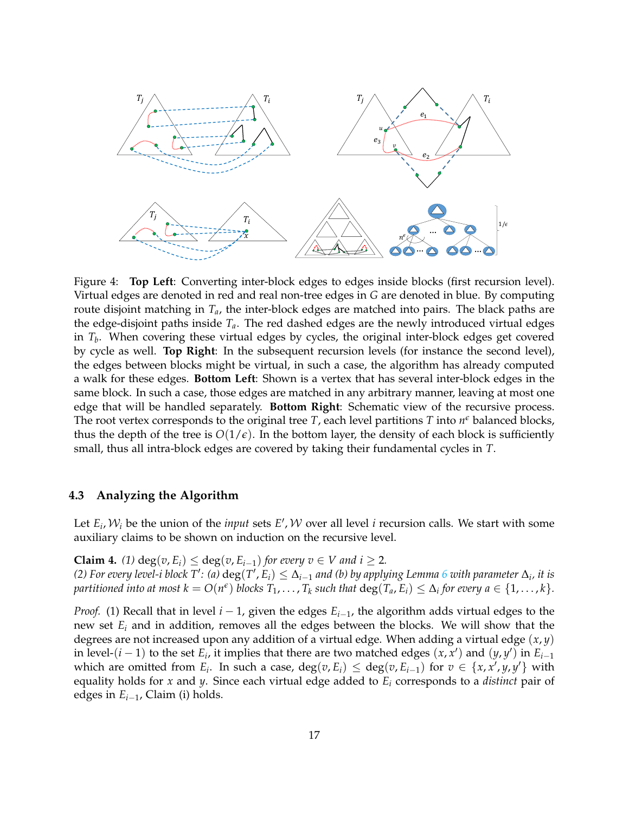

<span id="page-17-0"></span>Figure 4: **Top Left**: Converting inter-block edges to edges inside blocks (first recursion level). Virtual edges are denoted in red and real non-tree edges in *G* are denoted in blue. By computing route disjoint matching in *Ta*, the inter-block edges are matched into pairs. The black paths are the edge-disjoint paths inside *Ta*. The red dashed edges are the newly introduced virtual edges in *T<sup>b</sup>* . When covering these virtual edges by cycles, the original inter-block edges get covered by cycle as well. **Top Right**: In the subsequent recursion levels (for instance the second level), the edges between blocks might be virtual, in such a case, the algorithm has already computed a walk for these edges. **Bottom Left**: Shown is a vertex that has several inter-block edges in the same block. In such a case, those edges are matched in any arbitrary manner, leaving at most one edge that will be handled separately. **Bottom Right**: Schematic view of the recursive process. The root vertex corresponds to the original tree  $T$ , each level partitions  $T$  into  $n^{\epsilon}$  balanced blocks, thus the depth of the tree is  $O(1/\epsilon)$ . In the bottom layer, the density of each block is sufficiently small, thus all intra-block edges are covered by taking their fundamental cycles in *T*.

### **4.3 Analyzing the Algorithm**

Let  $E_i$ ,  $W_i$  be the union of the *input* sets  $E'$ ,  $W$  over all level *i* recursion calls. We start with some auxiliary claims to be shown on induction on the recursive level.

**Claim 4.** *(1)* deg(*v*, *E<sub>i</sub>*) ≤ deg(*v*, *E*<sub>*i*−1</sub>) *for every v* ∈ *V* and *i* ≥ 2*.* (2) For every level-i block T': (a)  $\deg(T', E_i) \leq \Delta_{i-1}$  and (b) by applying Lemma [6](#page-15-1) with parameter  $\Delta_i$ , it is partitioned into at most  $k=O(n^{\epsilon})$  blocks  $T_1,\ldots,T_k$  such that  $\deg(T_a,E_i)\leq \Delta_i$  for every  $a\in\{1,\ldots,k\}.$ 

*Proof.* (1) Recall that in level *i* − 1, given the edges  $E_{i-1}$ , the algorithm adds virtual edges to the new set *E<sup>i</sup>* and in addition, removes all the edges between the blocks. We will show that the degrees are not increased upon any addition of a virtual edge. When adding a virtual edge (*x*, *y*) in level-(*i* − 1) to the set  $E_i$ , it implies that there are two matched edges  $(x, x')$  and  $(y, y')$  in  $E_{i-1}$ which are omitted from  $E_i$ . In such a case,  $deg(v, E_i) \leq deg(v, E_{i-1})$  for  $v \in \{x, x', y, y'\}$  with equality holds for *x* and *y*. Since each virtual edge added to *E<sup>i</sup>* corresponds to a *distinct* pair of edges in *Ei*−1, Claim (i) holds.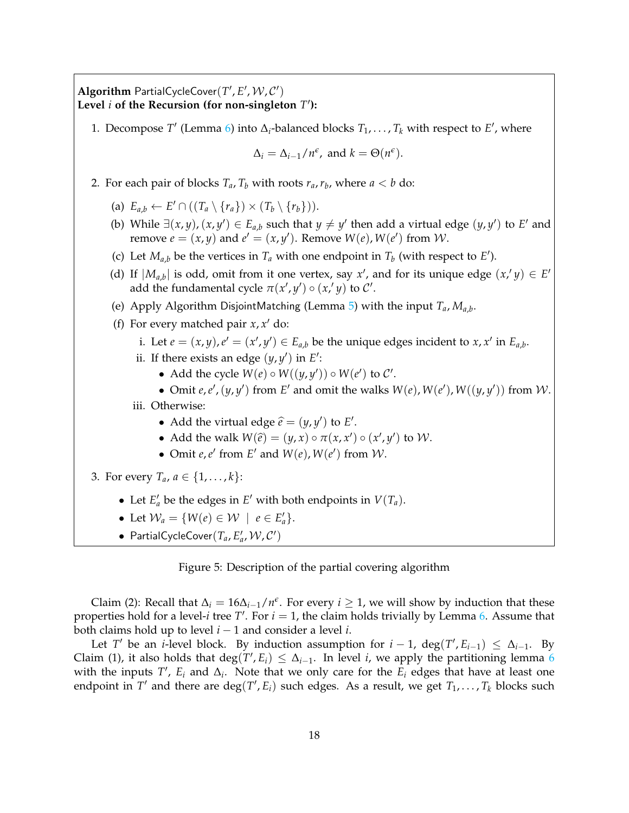Algorithm PartialCycleCover( $T', E', W, C'$ ) **Level** *i* **of the Recursion (for non-singleton** *T* 0 **):**

1. Decompose  $T'$  (Lemma [6\)](#page-15-1) into  $\Delta_i$ -balanced blocks  $T_1, \ldots, T_k$  with respect to  $E'$ , where

$$
\Delta_i = \Delta_{i-1}/n^{\epsilon}, \text{ and } k = \Theta(n^{\epsilon}).
$$

- 2. For each pair of blocks  $T_a$ ,  $T_b$  with roots  $r_a$ ,  $r_b$ , where  $a < b$  do:
	- (a)  $E_{a,b} \leftarrow E' \cap ((T_a \setminus \{r_a\}) \times (T_b \setminus \{r_b\})).$
	- (b) While  $\exists (x, y), (x, y') \in E_{a,b}$  such that  $y \neq y'$  then add a virtual edge  $(y, y')$  to *E'* and remove  $e = (x, y)$  and  $e' = (x, y')$ . Remove  $W(e)$ ,  $W(e')$  from  $W$ .
	- (c) Let  $M_{a,b}$  be the vertices in  $T_a$  with one endpoint in  $T_b$  (with respect to  $E'$ ).
	- (d) If  $|M_{a,b}|$  is odd, omit from it one vertex, say  $x'$ , and for its unique edge  $(x, y) \in E'$ add the fundamental cycle  $\pi(x', y') \circ (x', y)$  to  $\mathcal{C}'$ .
	- (e) Apply Algorithm DisjointMatching (Lemma [5\)](#page-14-1) with the input *Ta*, *Ma*,*<sup>b</sup>* .
	- (f) For every matched pair  $x$ ,  $x'$  do:
		- i. Let  $e = (x, y), e' = (x', y') \in E_{a,b}$  be the unique edges incident to  $x, x'$  in  $E_{a,b}$ .
		- ii. If there exists an edge  $(y, y')$  in  $E'$ :
			- Add the cycle  $W(e) \circ W((y, y')) \circ W(e')$  to  $C'$ .
			- Omit *e*,*e'*,  $(y, y')$  from *E'* and omit the walks  $W(e)$ ,  $W(e')$ ,  $W((y, y'))$  from *W*.

iii. Otherwise:

- Add the virtual edge  $\hat{e} = (y, y')$  to *E'*.
- Add the walk  $W(\hat{e}) = (y, x) \circ \pi(x, x') \circ (x', y')$  to  $W$ .
- Omit *e*, *e'* from *E'* and *W*(*e*), *W*(*e'*) from *W*.
- <span id="page-18-0"></span>3. For every  $T_a$ ,  $a \in \{1, ..., k\}$ :
	- Let  $E'_a$  be the edges in  $E'$  with both endpoints in  $V(T_a)$ .
	- Let  $\mathcal{W}_a = \{ W(e) \in \mathcal{W} \mid e \in E'_a \}.$
	- PartialCycleCover $(T_a, E'_a, \mathcal{W}, \mathcal{C}')$

Figure 5: Description of the partial covering algorithm

Claim (2): Recall that  $\Delta_i = 16\Delta_{i-1}/n^{\epsilon}$ . For every  $i \ge 1$ , we will show by induction that these properties hold for a level-*i* tree  $T'$ . For  $i = 1$ , the claim holds trivially by Lemma [6.](#page-15-1) Assume that both claims hold up to level *i* − 1 and consider a level *i*.

Let *T'* be an *i*-level block. By induction assumption for  $i - 1$ , deg(*T'*,  $E_{i-1}$ )  $\leq \Delta_{i-1}$ . By Claim (1), it also holds that deg( $T$ ,  $E_i$ )  $\leq \Delta_{i-1}$ . In level *i*, we apply the partitioning lemma [6](#page-15-1) with the inputs  $T'$ ,  $E_i$  and  $\Delta_i$ . Note that we only care for the  $E_i$  edges that have at least one endpoint in  $T'$  and there are  $\deg(T', E_i)$  such edges. As a result, we get  $T_1, \ldots, T_k$  blocks such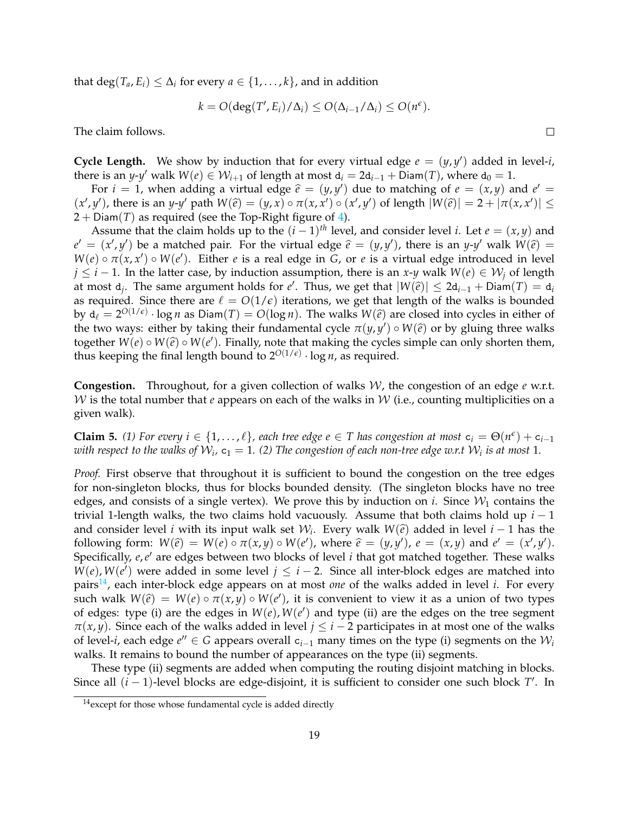that  $\deg(T_a,E_i)\leq \Delta_i$  for every  $a\in\{1,\ldots,k\}$ , and in addition

$$
k = O(\deg(T', E_i)/\Delta_i) \leq O(\Delta_{i-1}/\Delta_i) \leq O(n^{\epsilon}).
$$

The claim follows.

**Cycle Length.** We show by induction that for every virtual edge  $e = (y, y')$  added in level-*i*, there is an *y*-*y'* walk  $W(e) \in W_{i+1}$  of length at most  $d_i = 2d_{i-1} + \overline{D}$ iam $(T)$ , where  $d_0 = 1$ .

For  $i = 1$ , when adding a virtual edge  $\hat{e} = (y, y')$  due to matching of  $e = (x, y)$  and  $e' = (y')$ , there is an *y*  $y'$  as the  $W(\hat{e}) = (y, y') \circ \pi(x, y') \circ (y', y')$  of langth  $|W(\hat{e})| = 2 + |\pi(x, y')| <$  $(x', y')$ , there is an y-y' path  $W(\hat{e}) = (y, x) \circ \pi(x, x') \circ (x', y')$  of length  $|W(\hat{e})| = 2 + |\pi(x, x')| \le$ <br>2. Diam(T) as required (see the Top Right figure of 4)  $2 +$  Diam(*T*) as required (see the Top-Right figure of [4\)](#page-17-0).

Assume that the claim holds up to the  $(i - 1)$ <sup>th</sup> level, and consider level *i*. Let  $e = (x, y)$  and  $e' = (x', y')$  be a matched pair. For the virtual edge  $\hat{e} = (y, y')$ , there is an *y-y'* walk  $W(\hat{e}) = W(a) \circ \pi(x, x') \circ W(a')$ . Either e is a real edge in *G* or e is a virtual edge introduced in layel  $W(e) \circ \pi(x, x') \circ W(e')$ . Either *e* is a real edge in *G*, or *e* is a virtual edge introduced in level *j* ≤ *i* − 1. In the latter case, by induction assumption, there is an *x*-*y* walk  $W(e) \in W_i$  of length at most  $d_j$ . The same argument holds for *e'*. Thus, we get that  $|W(\hat{e})| \le 2d_{i-1} + \text{Diam}(T) = d_i$ as required. Since there are  $\ell = O(1/\epsilon)$  iterations, we get that length of the walks is bounded by  $d_{\ell} = 2^{O(1/\epsilon)} \cdot \log n$  as  $Diam(T) = O(\log n)$ . The walks  $W(\hat{e})$  are closed into cycles in either of the two wave: either by taking their fundamental avelocytic  $\pi(u, u') \in W(\hat{e})$  or by gluing three walks the two ways: either by taking their fundamental cycle  $\pi(y, y') \circ W(\hat{e})$  or by gluing three walks together  $W(e) \circ W(\hat{e}) \circ W(\hat{e})$ . Finally, note that making the evalue simple can only shorten them together  $W(e) \circ W(\hat{e}) \circ W(e')$ . Finally, note that making the cycles simple can only shorten them, thus keeping the final length bound to  $2^{O(1/\epsilon)} \cdot \log n$ , as required.

**Congestion.** Throughout, for a given collection of walks W, the congestion of an edge *e* w.r.t. W is the total number that *e* appears on each of the walks in W (i.e., counting multiplicities on a given walk).

<span id="page-19-1"></span>**Claim 5.** (1) For every  $i \in \{1,\ldots,\ell\}$ , each tree edge  $e \in T$  has congestion at most  $c_i = \Theta(n^{\epsilon}) + c_{i-1}$ with respect to the walks of  $\mathcal{W}_i$ ,  $\mathsf{c}_1 = 1$ . (2) The congestion of each non-tree edge w.r.t  $\mathcal{W}_i$  is at most  $1$ .

*Proof.* First observe that throughout it is sufficient to bound the congestion on the tree edges for non-singleton blocks, thus for blocks bounded density. (The singleton blocks have no tree edges, and consists of a single vertex). We prove this by induction on *i*. Since  $W_1$  contains the trivial 1-length walks, the two claims hold vacuously. Assume that both claims hold up *i* − 1 and consider level *i* with its input walk set  $W_i$ . Every walk  $W(\hat{e})$  added in level *i* − 1 has the following form:  $W(\hat{e}) = W(a) \circ \pi(x, y) \circ W(a')$ , where  $\hat{e} = (x, y') \circ \pi(x, y)$  and  $e' = (x', y')$ . following form:  $W(\hat{e}) = W(e) \circ \pi(x, y) \circ W(e')$ , where  $\hat{e} = (y, y')$ ,  $e = (x, y)$  and  $e' = (x', y')$ .<br>Specifically e c' are odgee between two blocks of lovel i that get matched together. These wells Specifically, *e*,*e'* are edges between two blocks of level *i* that got matched together. These walks  $W(e)$ ,  $W(e')$  were added in some level  $j \leq i - 2$ . Since all inter-block edges are matched into pairs<sup>[14](#page-19-0)</sup>, each inter-block edge appears on at most *one* of the walks added in level *i*. For every such walk  $W(\hat{e}) = W(e) \circ \pi(x, y) \circ W(e')$ , it is convenient to view it as a union of two types of edges, type (i) are the edges in  $W(e)$ ,  $W(e')$  and type (ii) are the edges on the tree segment of edges: type (i) are the edges in  $W(e)$ ,  $W(e')$  and type (ii) are the edges on the tree segment  $\pi(x, y)$ . Since each of the walks added in level  $j \leq i - 2$  participates in at most one of the walks of level-*i*, each edge  $e''$  ∈ *G* appears overall  $c_{i-1}$  many times on the type (i) segments on the  $W_i$ walks. It remains to bound the number of appearances on the type (ii) segments.

These type (ii) segments are added when computing the routing disjoint matching in blocks. Since all  $(i - 1)$ -level blocks are edge-disjoint, it is sufficient to consider one such block  $T'$ . In

 $\Box$ 

<span id="page-19-0"></span><sup>&</sup>lt;sup>14</sup> except for those whose fundamental cycle is added directly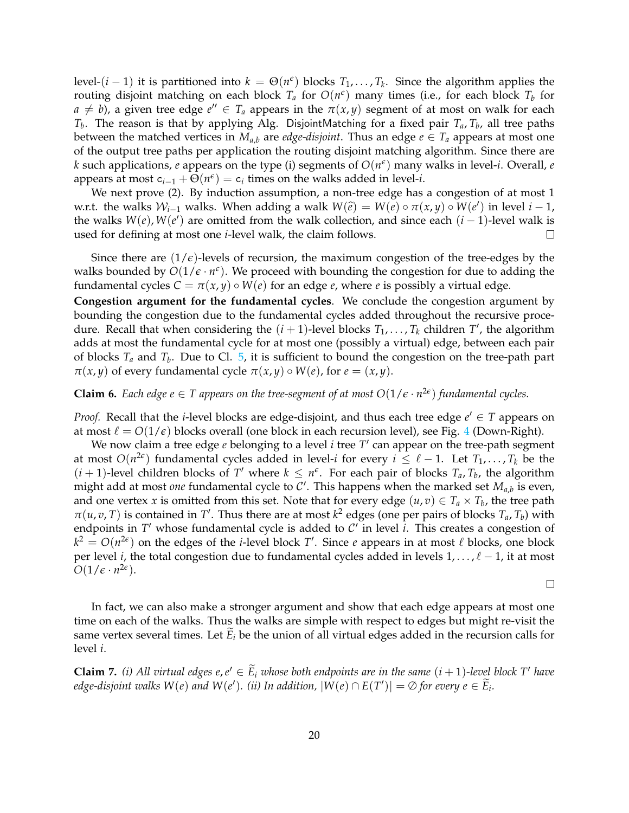level- $(i-1)$  it is partitioned into  $k = \Theta(n^{\epsilon})$  blocks  $T_1, \ldots, T_k$ . Since the algorithm applies the routing disjoint matching on each block  $T_a$  for  $O(n^{\epsilon})$  many times (i.e., for each block  $T_b$  for  $a \neq b$ ), a given tree edge  $e'' \in T_a$  appears in the  $\pi(x, y)$  segment of at most on walk for each *Tb* . The reason is that by applying Alg. DisjointMatching for a fixed pair *Ta*, *T<sup>b</sup>* , all tree paths between the matched vertices in  $M_{a,b}$  are *edge-disjoint*. Thus an edge  $e \in T_a$  appears at most one of the output tree paths per application the routing disjoint matching algorithm. Since there are  $k$  such applications,  $e$  appears on the type (i) segments of  $O(n^{\epsilon})$  many walks in level- $i$ . Overall,  $e$ appears at most  $c_{i-1} + \Theta(n^{\epsilon}) = c_i$  times on the walks added in level-*i*.

We next prove (2). By induction assumption, a non-tree edge has a congestion of at most 1 w.r.t. the walks  $W_{i-1}$  walks. When adding a walk  $W(\hat{e}) = W(e) \circ \pi(x, y) \circ W(e')$  in level  $i - 1$ , the walke  $W(a)$  are emitted from the walk collection, and since each  $(i - 1)$  lovel walk is the walks  $W(e)$ ,  $W(e')$  are omitted from the walk collection, and since each  $(i - 1)$ -level walk is used for defining at most one *i*-level walk, the claim follows.  $\Box$ 

Since there are  $(1/\epsilon)$ -levels of recursion, the maximum congestion of the tree-edges by the walks bounded by  $O(1/\epsilon \cdot n^{\epsilon})$ . We proceed with bounding the congestion for due to adding the fundamental cycles  $C = \pi(x, y) \circ W(e)$  for an edge *e*, where *e* is possibly a virtual edge.

**Congestion argument for the fundamental cycles**. We conclude the congestion argument by bounding the congestion due to the fundamental cycles added throughout the recursive procedure. Recall that when considering the  $(i + 1)$ -level blocks  $T_1, \ldots, T_k$  children  $T'$ , the algorithm adds at most the fundamental cycle for at most one (possibly a virtual) edge, between each pair of blocks *T<sup>a</sup>* and *T<sup>b</sup>* . Due to Cl. [5,](#page-19-1) it is sufficient to bound the congestion on the tree-path part *π*(*x*, *y*) of every fundamental cycle *π*(*x*, *y*) ◦ *W*(*e*), for *e* = (*x*, *y*).

**Claim 6.** *Each edge e*  $\in$  *T* appears on the tree-segment of at most  $O(1/\epsilon \cdot n^{2\epsilon})$  fundamental cycles.

*Proof.* Recall that the *i*-level blocks are edge-disjoint, and thus each tree edge  $e' \in T$  appears on at most  $\ell = O(1/\epsilon)$  blocks overall (one block in each recursion level), see Fig. [4](#page-17-0) (Down-Right).

We now claim a tree edge *e* belonging to a level *i* tree T' can appear on the tree-path segment at most  $O(n^{2\epsilon})$  fundamental cycles added in level-*i* for every  $i\leq \ell-1.$  Let  $T_1,\ldots,T_k$  be the  $(i + 1)$ -level children blocks of *T'* where  $k \leq n^{\epsilon}$ . For each pair of blocks  $T_a$ ,  $T_b$ , the algorithm might add at most *one* fundamental cycle to  $\mathcal{C}'$ . This happens when the marked set  $M_{a,b}$  is even, and one vertex *x* is omitted from this set. Note that for every edge  $(u, v) \in T_a \times T_b$ , the tree path  $\pi(u, v, T)$  is contained in *T*'. Thus there are at most  $k^2$  edges (one per pairs of blocks  $T_a, T_b$ ) with endpoints in  $T'$  whose fundamental cycle is added to  $\mathcal{C}'$  in level *i*. This creates a congestion of  $k^2 = O(n^{2\epsilon})$  on the edges of the *i*-level block *T*'. Since *e* appears in at most  $\ell$  blocks, one block per level *i*, the total congestion due to fundamental cycles added in levels  $1, \ldots, \ell - 1$ , it at most  $O(1/\epsilon \cdot n^{2\epsilon}).$ 

 $\Box$ 

In fact, we can also make a stronger argument and show that each edge appears at most one time on each of the walks. Thus the walks are simple with respect to edges but might re-visit the same vertex several times. Let  $\tilde{E}_i$  be the union of all virtual edges added in the recursion calls for level *i*.

<span id="page-20-0"></span>**Claim 7.** *(i)* All virtual edges  $e, e' \in \widetilde{E}_i$  whose both endpoints are in the same  $(i + 1)$ -level block T' have *edge-disjoint walks*  $W(e)$  *and*  $W(e')$ . (*ii*) In addition,  $|W(e) \cap E(T')| = \emptyset$  for every  $e \in \widetilde{E}_i$ .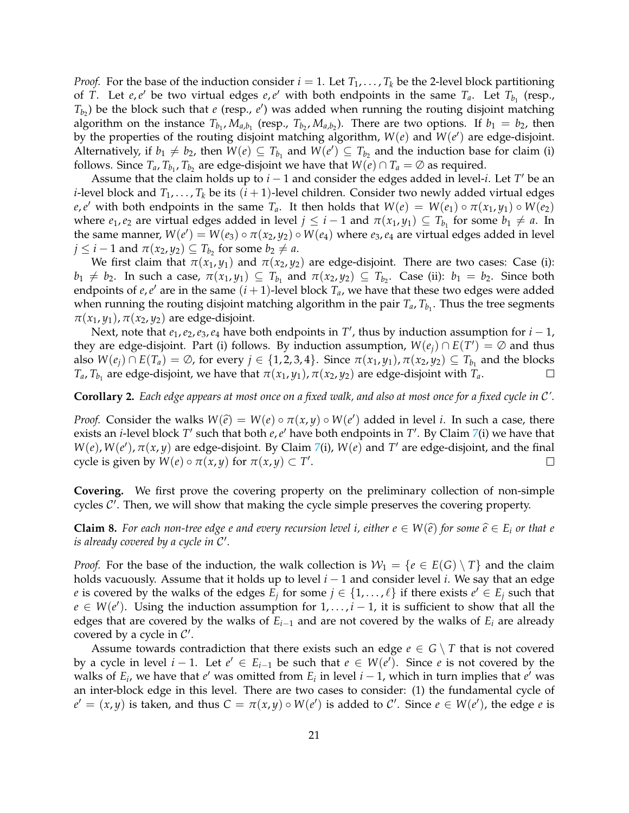*Proof.* For the base of the induction consider  $i = 1$ . Let  $T_1, \ldots, T_k$  be the 2-level block partitioning of *T*. Let *e*,*e*' be two virtual edges *e*,*e*' with both endpoints in the same  $T_a$ . Let  $T_{b_1}$  (resp.,  $T_{b_2}$ ) be the block such that *e* (resp., *e*') was added when running the routing disjoint matching algorithm on the instance  $T_{b_1}$ ,  $M_{a,b_1}$  (resp.,  $T_{b_2}$ ,  $M_{a,b_2}$ ). There are two options. If  $b_1 = b_2$ , then by the properties of the routing disjoint matching algorithm,  $W(e)$  and  $W(e')$  are edge-disjoint. Alternatively, if  $b_1 \neq b_2$ , then  $W(e) \subseteq T_{b_1}$  and  $W(e') \subseteq T_{b_2}$  and the induction base for claim (i) follows. Since  $T_a$ ,  $T_{b_1}$ ,  $T_{b_2}$  are edge-disjoint we have that  $W(e) \cap T_a = \emptyset$  as required.

Assume that the claim holds up to  $i - 1$  and consider the edges added in level-*i*. Let *T'* be an *i*-level block and  $T_1, \ldots, T_k$  be its  $(i + 1)$ -level children. Consider two newly added virtual edges  $e, e'$  with both endpoints in the same  $T_a$ . It then holds that  $W(e) = W(e_1) \circ \pi(x_1, y_1) \circ W(e_2)$ where  $e_1, e_2$  are virtual edges added in level  $j \leq i-1$  and  $\pi(x_1, y_1) \subseteq T_{b_1}$  for some  $b_1 \neq a$ . In the same manner,  $W(e') = W(e_3) \circ \pi(x_2, y_2) \circ W(e_4)$  where  $e_3, e_4$  are virtual edges added in level  $j \leq i - 1$  and  $\pi(x_2, y_2) \subseteq T_{b_2}$  for some  $b_2 \neq a$ .

We first claim that  $\pi(x_1, y_1)$  and  $\pi(x_2, y_2)$  are edge-disjoint. There are two cases: Case (i):  $b_1 \neq b_2$ . In such a case,  $\pi(x_1, y_1) \subseteq T_{b_1}$  and  $\pi(x_2, y_2) \subseteq T_{b_2}$ . Case (ii):  $b_1 = b_2$ . Since both endpoints of  $e, e'$  are in the same  $(i + 1)$ -level block  $T_a$ , we have that these two edges were added when running the routing disjoint matching algorithm in the pair  $T_a$ ,  $T_{b_1}$ . Thus the tree segments  $\pi(x_1, y_1)$ ,  $\pi(x_2, y_2)$  are edge-disjoint.

Next, note that  $e_1, e_2, e_3, e_4$  have both endpoints in  $T'$ , thus by induction assumption for  $i - 1$ , they are edge-disjoint. Part (i) follows. By induction assumption,  $W(e_j) \cap E(T') = \emptyset$  and thus also  $W(e_j) \cap E(T_a) = \emptyset$ , for every  $j \in \{1, 2, 3, 4\}$ . Since  $\pi(x_1, y_1)$ ,  $\pi(x_2, y_2) \subseteq T_{b_1}$  and the blocks  $T_a$ ,  $T_{b_1}$  are edge-disjoint, we have that  $\pi(x_1, y_1)$ ,  $\pi(x_2, y_2)$  are edge-disjoint with  $T_a$ .  $\Box$ 

### <span id="page-21-0"></span>**Corollary 2.** *Each edge appears at most once on a fixed walk, and also at most once for a fixed cycle in* C*'.*

*Proof.* Consider the walks  $W(\hat{e}) = W(e) \circ \pi(x, y) \circ W(e')$  added in level *i*. In such a case, there exists an *i* layel block *T'* such that hath a *s'* have both and points in *T'*. By Claim *7(i)* we have that exists an *i*-level block T' such that both *e*, *e'* have both endpoints in T'. By Claim [7\(](#page-20-0)i) we have that  $W(e)$ ,  $W(e')$ ,  $\pi(x, y)$  are edge-disjoint. By Claim [7\(](#page-20-0)i),  $W(e)$  and T' are edge-disjoint, and the final cycle is given by  $W(e) \circ \pi(x, y)$  for  $\pi(x, y) \subset T'$ .  $\Box$ 

**Covering.** We first prove the covering property on the preliminary collection of non-simple cycles  $C'$ . Then, we will show that making the cycle simple preserves the covering property.

**Claim 8.** For each non-tree edge e and every recursion level *i*, either *e* ∈ *W*( $\hat{e}$ ) for some  $\hat{e}$  ∈  $E_i$  or that *e is already covered by a cycle in* C 0 *.*

*Proof.* For the base of the induction, the walk collection is  $W_1 = \{e \in E(G) \setminus T\}$  and the claim holds vacuously. Assume that it holds up to level *i* − 1 and consider level *i*. We say that an edge *e* is covered by the walks of the edges  $E_j$  for some  $j \in \{1, ..., \ell\}$  if there exists  $e' \in E_j$  such that  $e \in W(e')$ . Using the induction assumption for  $1, \ldots, i-1$ , it is sufficient to show that all the edges that are covered by the walks of  $E_{i-1}$  and are not covered by the walks of  $E_i$  are already covered by a cycle in  $C'$ .

Assume towards contradiction that there exists such an edge  $e \in G \setminus T$  that is not covered by a cycle in level  $i - 1$ . Let  $e' \in E_{i-1}$  be such that  $e \in W(e')$ . Since  $e$  is not covered by the walks of  $E_i$ , we have that  $e'$  was omitted from  $E_i$  in level  $i-1$ , which in turn implies that  $e'$  was an inter-block edge in this level. There are two cases to consider: (1) the fundamental cycle of  $e' = (x, y)$  is taken, and thus  $C = \pi(x, y) \circ W(e')$  is added to C'. Since  $e \in W(e')$ , the edge *e* is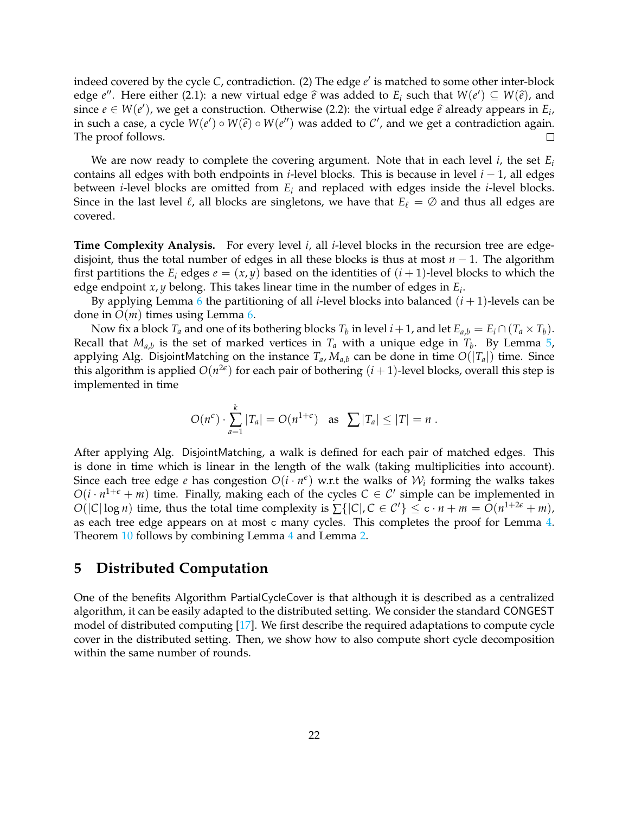indeed covered by the cycle *C*, contradiction. (2) The edge *e'* is matched to some other inter-block edge *e*". Here either (2.1): a new virtual edge  $\hat{e}$  was added to  $E_i$  such that  $W(e') \subseteq W(\hat{e})$ , and  $\hat{e}$  inco  $e \in W(e')$ , we get a construction. Otherwise (2.2): the virtual edge  $\hat{e}$  already appears in  $E$ since  $e \in W(e')$ , we get a construction. Otherwise (2.2): the virtual edge  $\hat{e}$  already appears in  $E_i$ , in such a consequent  $W(e') \circ W(\hat{e}) \circ W(e'')$  was added to  $C'$ , and we get a contradiction again. in such a case, a cycle  $W(e') \circ W(\hat{e}) \circ W(e'')$  was added to  $\mathcal{C}'$ , and we get a contradiction again. The proof follows.  $\Box$ 

We are now ready to complete the covering argument. Note that in each level *i*, the set *E<sup>i</sup>* contains all edges with both endpoints in *i*-level blocks. This is because in level *i* − 1, all edges between *i*-level blocks are omitted from *E<sup>i</sup>* and replaced with edges inside the *i*-level blocks. Since in the last level  $\ell$ , all blocks are singletons, we have that  $E_\ell = \emptyset$  and thus all edges are covered.

**Time Complexity Analysis.** For every level *i*, all *i*-level blocks in the recursion tree are edgedisjoint, thus the total number of edges in all these blocks is thus at most *n* − 1. The algorithm first partitions the  $E_i$  edges  $e = (x, y)$  based on the identities of  $(i + 1)$ -level blocks to which the edge endpoint *x*, *y* belong. This takes linear time in the number of edges in *E<sup>i</sup>* .

By applying Lemma [6](#page-15-1) the partitioning of all *i*-level blocks into balanced (*i* + 1)-levels can be done in *O*(*m*) times using Lemma [6.](#page-15-1)

Now fix a block  $T_a$  and one of its bothering blocks  $T_b$  in level  $i + 1$ , and let  $E_{a,b} = E_i \cap (T_a \times T_b)$ . Recall that  $M_{a,b}$  is the set of marked vertices in  $T_a$  with a unique edge in  $T_b$ . By Lemma [5,](#page-14-1) applying Alg. DisjointMatching on the instance  $T_a$ ,  $M_{a,b}$  can be done in time  $O(|T_a|)$  time. Since this algorithm is applied  $O(n^{2\epsilon})$  for each pair of bothering  $(i + 1)$ -level blocks, overall this step is implemented in time

$$
O(n^{\epsilon}) \cdot \sum_{a=1}^{k} |T_a| = O(n^{1+\epsilon})
$$
 as  $\sum |T_a| \leq |T| = n$ .

After applying Alg. DisjointMatching, a walk is defined for each pair of matched edges. This is done in time which is linear in the length of the walk (taking multiplicities into account). Since each tree edge  $e$  has congestion  $O(i \cdot n^{\epsilon})$  w.r.t the walks of  $\mathcal{W}_i$  forming the walks takes  $O(i \cdot n^{1+\epsilon} + m)$  time. Finally, making each of the cycles  $C \in \mathcal{C}'$  simple can be implemented in *O*( $|C|\log n$ ) time, thus the total time complexity is  $\sum\{|C|, C \in C'\} \le c \cdot n + m = O(n^{1+2\epsilon} + m)$ , as each tree edge appears on at most c many cycles. This completes the proof for Lemma [4.](#page-14-2) Theorem [10](#page-11-2) follows by combining Lemma [4](#page-14-2) and Lemma [2.](#page-12-1)

## <span id="page-22-0"></span>**5 Distributed Computation**

<span id="page-22-1"></span>One of the benefits Algorithm PartialCycleCover is that although it is described as a centralized algorithm, it can be easily adapted to the distributed setting. We consider the standard CONGEST model of distributed computing [\[17\]](#page-28-4). We first describe the required adaptations to compute cycle cover in the distributed setting. Then, we show how to also compute short cycle decomposition within the same number of rounds.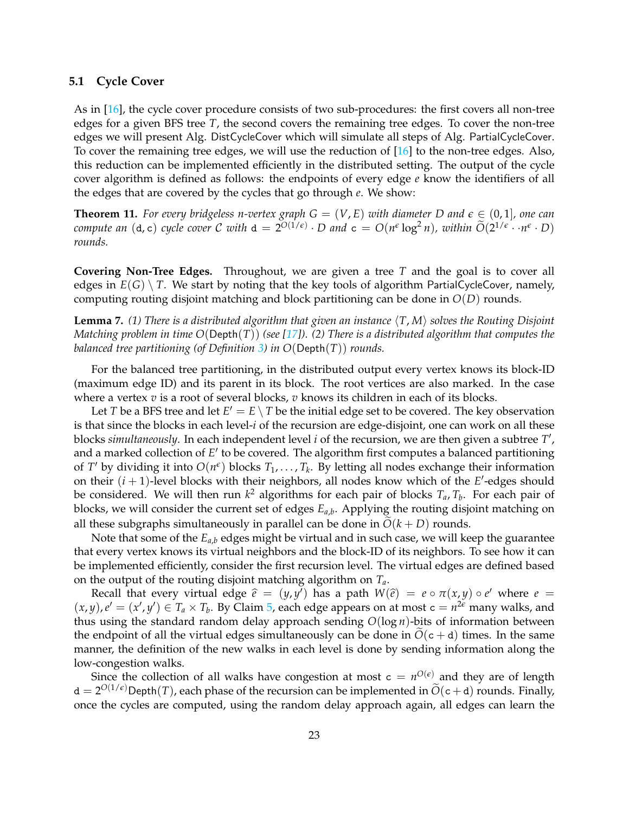### **5.1 Cycle Cover**

As in [\[16\]](#page-28-1), the cycle cover procedure consists of two sub-procedures: the first covers all non-tree edges for a given BFS tree *T*, the second covers the remaining tree edges. To cover the non-tree edges we will present Alg. DistCycleCover which will simulate all steps of Alg. PartialCycleCover. To cover the remaining tree edges, we will use the reduction of [\[16\]](#page-28-1) to the non-tree edges. Also, this reduction can be implemented efficiently in the distributed setting. The output of the cycle cover algorithm is defined as follows: the endpoints of every edge *e* know the identifiers of all the edges that are covered by the cycles that go through *e*. We show:

<span id="page-23-0"></span>**Theorem 11.** For every bridgeless n-vertex graph  $G = (V, E)$  with diameter D and  $\epsilon \in (0, 1]$ , one can *compute an*  $(d, c)$  *cycle cover* C *with*  $d = 2^{O(1/\epsilon)} \cdot D$  *and*  $c = O(n^{\epsilon} \log^2 n)$ *, within*  $\widetilde{O}(2^{1/\epsilon} \cdot n^{\epsilon} \cdot D)$ *rounds.*

**Covering Non-Tree Edges.** Throughout, we are given a tree *T* and the goal is to cover all edges in  $E(G) \setminus T$ . We start by noting that the key tools of algorithm PartialCycleCover, namely, computing routing disjoint matching and block partitioning can be done in *O*(*D*) rounds.

**Lemma 7.** (1) There is a distributed algorithm that given an instance  $\langle T, M \rangle$  solves the Routing Disjoint *Matching problem in time O*(Depth(*T*)) *(see [\[17\]](#page-28-4)). (2) There is a distributed algorithm that computes the balanced tree partitioning (of Definition [3\)](#page-15-2) in O*(Depth(*T*)) *rounds.*

For the balanced tree partitioning, in the distributed output every vertex knows its block-ID (maximum edge ID) and its parent in its block. The root vertices are also marked. In the case where a vertex *v* is a root of several blocks, *v* knows its children in each of its blocks.

Let *T* be a BFS tree and let  $E' = E \setminus T$  be the initial edge set to be covered. The key observation is that since the blocks in each level-*i* of the recursion are edge-disjoint, one can work on all these blocks *simultaneously*. In each independent level *i* of the recursion, we are then given a subtree T', and a marked collection of E' to be covered. The algorithm first computes a balanced partitioning of *T'* by dividing it into  $O(n^{\epsilon})$  blocks  $T_1, \ldots, T_k$ . By letting all nodes exchange their information on their  $(i + 1)$ -level blocks with their neighbors, all nodes know which of the  $E'$ -edges should be considered. We will then run *k* <sup>2</sup> algorithms for each pair of blocks *Ta*, *T<sup>b</sup>* . For each pair of blocks, we will consider the current set of edges *Ea*,*<sup>b</sup>* . Applying the routing disjoint matching on all these subgraphs simultaneously in parallel can be done in  $\tilde{O}(k+D)$  rounds.

Note that some of the  $E_{a,b}$  edges might be virtual and in such case, we will keep the guarantee that every vertex knows its virtual neighbors and the block-ID of its neighbors. To see how it can be implemented efficiently, consider the first recursion level. The virtual edges are defined based on the output of the routing disjoint matching algorithm on *Ta*.

Recall that every virtual edge  $\hat{e} = (y, y^i)$  has a path  $W(\hat{e}) = e \circ \pi(x, y) \circ e^i$  where  $e =$ <br> $w \circ e^i = (x^i, y^i) \in T \times T$ . By Claim 5, each odge appears on at most  $e = u^{2\epsilon}$  many valles and  $(x, y), e' = (x', y') \in T_a \times T_b$ . By Claim [5,](#page-19-1) each edge appears on at most  $c = n^{2\epsilon}$  many walks, and thus using the standard random delay approach sending *O*(log *n*)-bits of information between the endpoint of all the virtual edges simultaneously can be done in  $O(c + d)$  times. In the same manner, the definition of the new walks in each level is done by sending information along the low-congestion walks.

Since the collection of all walks have congestion at most  $c = n^{O(\epsilon)}$  and they are of length  $d = 2^{O(1/\epsilon)}$ Depth(*T*), each phase of the recursion can be implemented in  $\widetilde{O}(c + d)$  rounds. Finally, once the cycles are computed, using the random delay approach again, all edges can learn the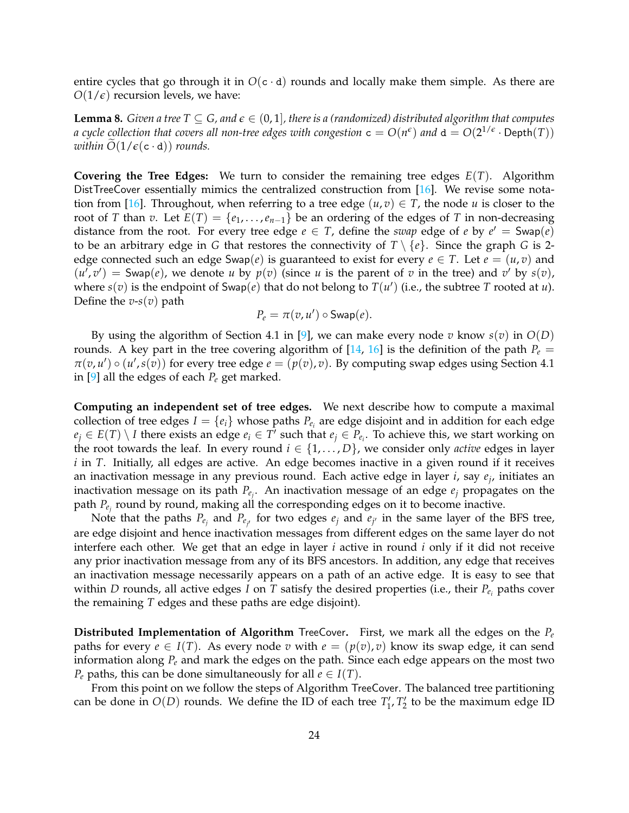entire cycles that go through it in  $O(c \cdot d)$  rounds and locally make them simple. As there are  $O(1/\epsilon)$  recursion levels, we have:

<span id="page-24-0"></span>**Lemma 8.** *Given a tree T*  $\subseteq$  *G*, and  $\epsilon \in (0,1]$ , there is a (randomized) distributed algorithm that computes *a cycle collection that covers all non-tree edges with congestion*  ${\tt c}=O(n^{\epsilon})$  *and*  ${\tt d}=O(2^{1/\epsilon}\cdot {\sf Depth}(T))$ *within*  $O(1/\epsilon(c \cdot d))$  *rounds.* 

**Covering the Tree Edges:** We turn to consider the remaining tree edges *E*(*T*). Algorithm DistTreeCover essentially mimics the centralized construction from [\[16\]](#page-28-1). We revise some nota-tion from [\[16\]](#page-28-1). Throughout, when referring to a tree edge  $(u, v) \in T$ , the node u is closer to the root of *T* than *v*. Let  $E(T) = \{e_1, \ldots, e_{n-1}\}\$  be an ordering of the edges of *T* in non-decreasing distance from the root. For every tree edge  $e \in T$ , define the *swap* edge of  $e$  by  $e' = \text{Swap}(e)$ to be an arbitrary edge in *G* that restores the connectivity of  $T \setminus \{e\}$ . Since the graph *G* is 2edge connected such an edge Swap(*e*) is guaranteed to exist for every  $e \in T$ . Let  $e = (u, v)$  and  $(u', v') =$  Swap(*e*), we denote *u* by  $p(v)$  (since *u* is the parent of *v* in the tree) and *v*' by  $s(v)$ , where  $s(v)$  is the endpoint of Swap(*e*) that do not belong to  $T(u')$  (i.e., the subtree *T* rooted at *u*). Define the *v*-*s*(*v*) path

$$
P_e = \pi(v, u') \circ \mathsf{Swap}(e).
$$

By using the algorithm of Section 4.1 in [\[9\]](#page-27-11), we can make every node *v* know  $s(v)$  in  $O(D)$ rounds. A key part in the tree covering algorithm of  $[14, 16]$  $[14, 16]$  $[14, 16]$  is the definition of the path  $P_e$  =  $\pi(v, u') \circ (u', s(v))$  for every tree edge  $e = (p(v), v)$ . By computing swap edges using Section 4.1 in [\[9\]](#page-27-11) all the edges of each *P<sup>e</sup>* get marked.

**Computing an independent set of tree edges.** We next describe how to compute a maximal collection of tree edges  $I = \{e_i\}$  whose paths  $P_{e_i}$  are edge disjoint and in addition for each edge  $e_j \in E(T) \setminus I$  there exists an edge  $e_i \in T'$  such that  $e_j \in P_{e_i}$ . To achieve this, we start working on the root towards the leaf. In every round  $i \in \{1, \ldots, D\}$ , we consider only *active* edges in layer *i* in *T*. Initially, all edges are active. An edge becomes inactive in a given round if it receives an inactivation message in any previous round. Each active edge in layer *i*, say *e<sup>j</sup>* , initiates an inactivation message on its path *Pe<sup>j</sup>* . An inactivation message of an edge *e<sup>j</sup>* propagates on the path *Pe<sup>j</sup>* round by round, making all the corresponding edges on it to become inactive.

Note that the paths  $P_{e_j}$  and  $P_{e_{j'}}$  for two edges  $e_j$  and  $e_{j'}$  in the same layer of the BFS tree, are edge disjoint and hence inactivation messages from different edges on the same layer do not interfere each other. We get that an edge in layer *i* active in round *i* only if it did not receive any prior inactivation message from any of its BFS ancestors. In addition, any edge that receives an inactivation message necessarily appears on a path of an active edge. It is easy to see that within *D* rounds, all active edges *I* on *T* satisfy the desired properties (i.e., their *Pe<sup>i</sup>* paths cover the remaining *T* edges and these paths are edge disjoint).

**Distributed Implementation of Algorithm** TreeCover**.** First, we mark all the edges on the *P<sup>e</sup>* paths for every  $e \in I(T)$ . As every node *v* with  $e = (p(v), v)$  know its swap edge, it can send information along *P<sup>e</sup>* and mark the edges on the path. Since each edge appears on the most two *P*<sup>*e*</sup> paths, this can be done simultaneously for all  $e \in I(T)$ .

From this point on we follow the steps of Algorithm TreeCover. The balanced tree partitioning can be done in  $O(D)$  rounds. We define the ID of each tree  $T_1', T_2'$  to be the maximum edge ID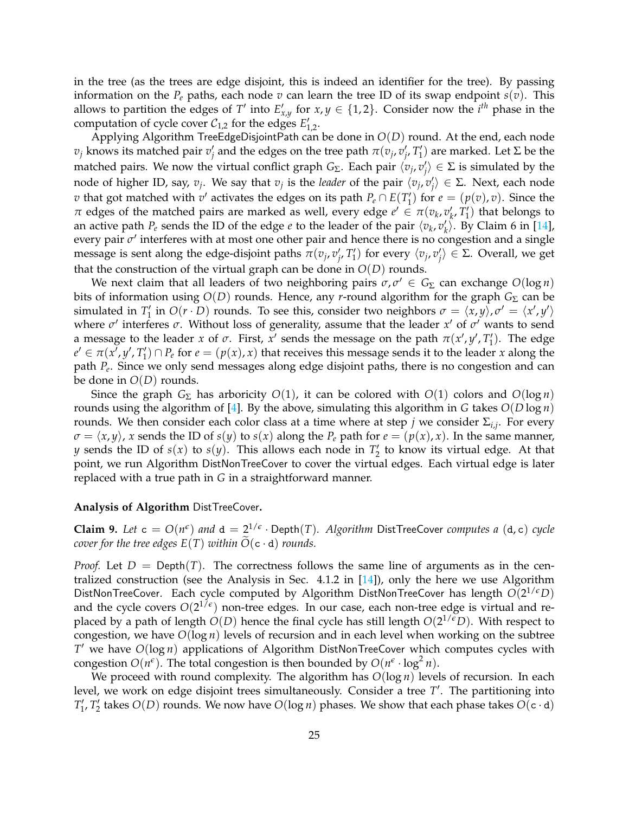in the tree (as the trees are edge disjoint, this is indeed an identifier for the tree). By passing information on the  $P_e$  paths, each node  $v$  can learn the tree ID of its swap endpoint  $s(v)$ . This allows to partition the edges of *T*<sup>*'*</sup> into  $E'_{x,y}$  for  $x,y \in \{1,2\}$ . Consider now the *i*<sup>th</sup> phase in the computation of cycle cover  $C_{1,2}$  for the edges  $E'_{1,2}$ .

Applying Algorithm TreeEdgeDisjointPath can be done in *O*(*D*) round. At the end, each node *v*<sub>*j*</sub> knows its matched pair *v*<sup>*j*</sup></sup> and the edges on the tree path *π*(*v*<sub>*j*</sub>, *v*<sup>*i*</sup><sub>*j*</sub>, *T*<sup>*'*</sup>) are marked. Let Σ be the matched pairs. We now the virtual conflict graph  $G_{\Sigma}$ . Each pair  $\langle v_j,v_j'\rangle\in\Sigma$  is simulated by the node of higher ID, say,  $v_j$ . We say that  $v_j$  is the *leader* of the pair  $\langle v_j, v_j' \rangle \in \Sigma$ . Next, each node *v* that got matched with *v*' activates the edges on its path  $P_e \cap E(T'_1)$  for  $e = (p(v), v)$ . Since the *π* edges of the matched pairs are marked as well, every edge  $e' \in \pi(v_k, v'_k, T'_1)$  that belongs to an active path  $P_e$  sends the ID of the edge  $e$  to the leader of the pair  $\langle v_k, v'_k \rangle$ . By Claim 6 in [\[14\]](#page-27-12), every pair *σ'* interferes with at most one other pair and hence there is no congestion and a single message is sent along the edge-disjoint paths  $\pi(v_j, v'_j, T'_1)$  for every  $\langle v_j, v'_j \rangle \in \Sigma$ . Overall, we get that the construction of the virtual graph can be done in  $O(D)$  rounds.

We next claim that all leaders of two neighboring pairs  $\sigma, \sigma' \in G_{\Sigma}$  can exchange  $O(\log n)$ bits of information using *O*(*D*) rounds. Hence, any *r*-round algorithm for the graph *G*<sup>Σ</sup> can be simulated in  $T'_1$  in  $O(r \cdot D)$  rounds. To see this, consider two neighbors  $\sigma = \langle x, y \rangle$ ,  $\sigma' = \langle x', y' \rangle$ where *σ'* interferes *σ*. Without loss of generality, assume that the leader *x'* of *σ'* wants to send a message to the leader *x* of  $\sigma$ . First,  $x'$  sends the message on the path  $\pi(x', y', T'_1)$ . The edge  $e' \in \pi(x', y', T'_1) \cap P_e$  for  $e = (p(x), x)$  that receives this message sends it to the leader *x* along the path *P<sup>e</sup>* . Since we only send messages along edge disjoint paths, there is no congestion and can be done in *O*(*D*) rounds.

Since the graph  $G_{\Sigma}$  has arboricity  $O(1)$ , it can be colored with  $O(1)$  colors and  $O(\log n)$ rounds using the algorithm of [\[4\]](#page-27-13). By the above, simulating this algorithm in *G* takes *O*(*D* log *n*) rounds. We then consider each color class at a time where at step *j* we consider Σ*i*,*<sup>j</sup>* . For every  $\sigma = \langle x, y \rangle$ , *x* sends the ID of *s*(*y*) to *s*(*x*) along the *P*<sub>*e*</sub> path for  $e = (p(x), x)$ . In the same manner, *y* sends the ID of  $s(x)$  to  $s(y)$ . This allows each node in  $T'_2$  to know its virtual edge. At that point, we run Algorithm DistNonTreeCover to cover the virtual edges. Each virtual edge is later replaced with a true path in *G* in a straightforward manner.

#### **Analysis of Algorithm** DistTreeCover**.**

<span id="page-25-0"></span>**Claim 9.** Let  $c = O(n^{\epsilon})$  and  $d = 2^{1/\epsilon} \cdot \text{Depth}(T)$ . Algorithm DistTreeCover *computes a* (d, c) cycle *cover for the tree edges*  $E(T)$  *within*  $O(c \cdot d)$  *rounds.* 

*Proof.* Let  $D = \text{Depth}(T)$ . The correctness follows the same line of arguments as in the centralized construction (see the Analysis in Sec. 4.1.2 in [\[14\]](#page-27-12)), only the here we use Algorithm DistNonTreeCover. Each cycle computed by Algorithm DistNonTreeCover has length *O*(2 1/*eD*) and the cycle covers  $O(2^{1/\epsilon})$  non-tree edges. In our case, each non-tree edge is virtual and replaced by a path of length *O*(*D*) hence the final cycle has still length *O*(2 1/*eD*). With respect to congestion, we have  $O(\log n)$  levels of recursion and in each level when working on the subtree *T* <sup>0</sup> we have *O*(log *n*) applications of Algorithm DistNonTreeCover which computes cycles with congestion  $O(n^{\epsilon})$ . The total congestion is then bounded by  $O(n^{\epsilon} \cdot \log^2 n)$ .

We proceed with round complexity. The algorithm has *O*(log *n*) levels of recursion. In each level, we work on edge disjoint trees simultaneously. Consider a tree T'. The partitioning into  $T'_1$ ,  $T'_2$  takes  $O(D)$  rounds. We now have  $O(\log n)$  phases. We show that each phase takes  $O(c \cdot d)$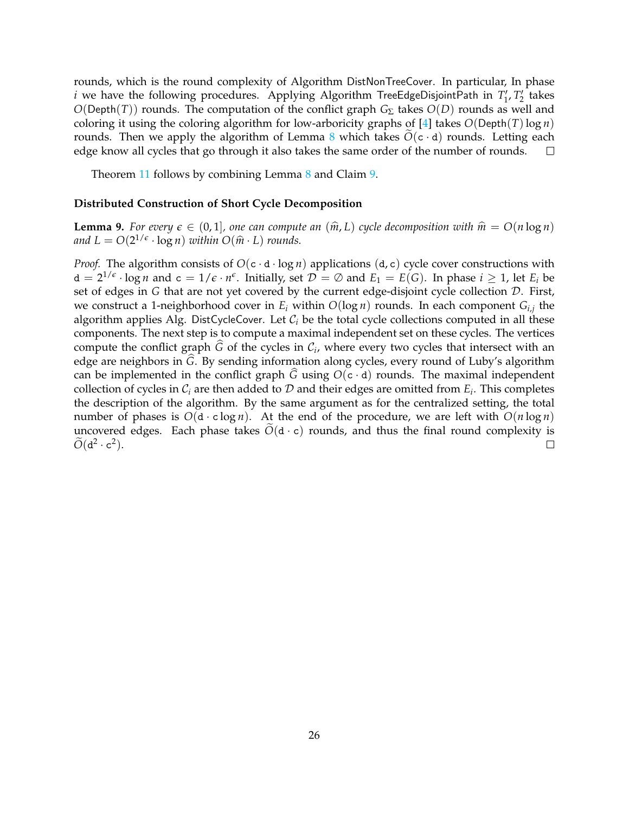rounds, which is the round complexity of Algorithm DistNonTreeCover. In particular, In phase *i* we have the following procedures. Applying Algorithm TreeEdgeDisjointPath in  $T_1$ ,  $T_2$  takes *O*(Depth(*T*)) rounds. The computation of the conflict graph *G*<sup>Σ</sup> takes *O*(*D*) rounds as well and coloring it using the coloring algorithm for low-arboricity graphs of [\[4\]](#page-27-13) takes  $O(\text{Depth}(T)\log n)$ rounds. Then we apply the algorithm of Lemma [8](#page-24-0) which takes  $O(c \cdot d)$  rounds. Letting each edge know all cycles that go through it also takes the same order of the number of rounds.  $\square$ edge know all cycles that go through it also takes the same order of the number of rounds.

Theorem [11](#page-23-0) follows by combining Lemma [8](#page-24-0) and Claim [9.](#page-25-0)

#### **Distributed Construction of Short Cycle Decomposition**

**Lemma 9.** For every  $\epsilon \in (0,1]$ , one can compute an  $(\hat{m}, L)$  cycle decomposition with  $\hat{m} = O(n \log n)$ and  $L = O(2^{1/\epsilon} \cdot \log n)$  *within*  $O(\hat{m} \cdot L)$  *rounds.* 

*Proof.* The algorithm consists of  $O(c \cdot d \cdot \log n)$  applications  $(d, c)$  cycle cover constructions with  $d = 2^{1/\epsilon} \cdot \log n$  and  $c = 1/\epsilon \cdot n^{\epsilon}$ . Initially, set  $\mathcal{D} = \emptyset$  and  $E_1 = E(G)$ . In phase  $i \geq 1$ , let  $E_i$  be set of edges in *G* that are not yet covered by the current edge-disjoint cycle collection D. First, we construct a 1-neighborhood cover in *E<sup>i</sup>* within *O*(log *n*) rounds. In each component *Gi*,*<sup>j</sup>* the algorithm applies Alg. DistCycleCover. Let  $C_i$  be the total cycle collections computed in all these components. The next step is to compute a maximal independent set on these cycles. The vertices compute the conflict graph  $\tilde{G}$  of the cycles in  $\mathcal{C}_i$ , where every two cycles that intersect with an edge are neighbors in  $\hat{G}$ . By sending information along cycles, every round of Luby's algorithm can be implemented in the conflict graph  $\tilde{G}$  using  $O(c \cdot d)$  rounds. The maximal independent collection of cycles in  $\mathcal{C}_i$  are then added to  $\mathcal D$  and their edges are omitted from  $E_i$ . This completes the description of the algorithm. By the same argument as for the centralized setting, the total number of phases is  $O(d \cdot c \log n)$ . At the end of the procedure, we are left with  $O(n \log n)$ uncovered edges. Each phase takes  $\overline{O}(d \cdot c)$  rounds, and thus the final round complexity is  $\overline{O}(d^2 \cdot c^2)$ .  $\widetilde{O}(\text{d}^2 \cdot \text{c}^2).$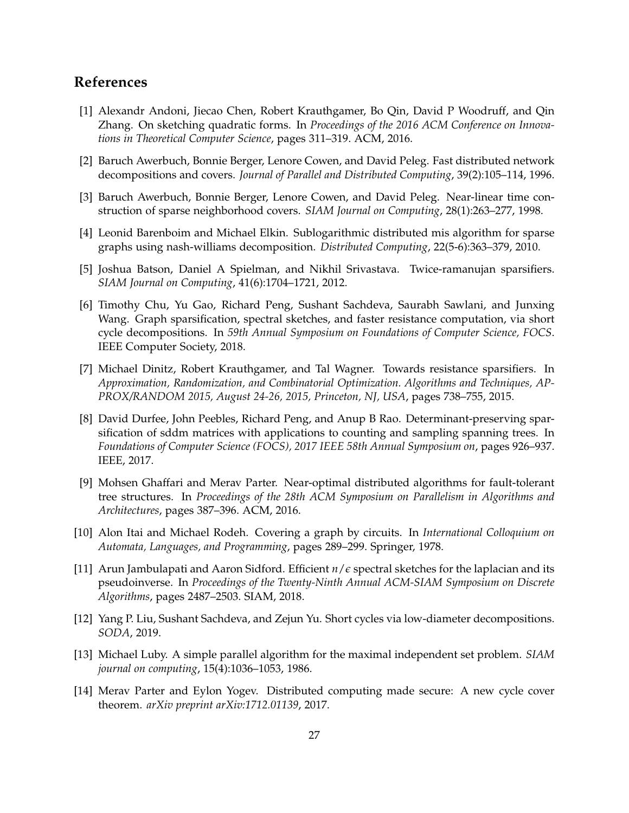# **References**

- <span id="page-27-4"></span>[1] Alexandr Andoni, Jiecao Chen, Robert Krauthgamer, Bo Qin, David P Woodruff, and Qin Zhang. On sketching quadratic forms. In *Proceedings of the 2016 ACM Conference on Innovations in Theoretical Computer Science*, pages 311–319. ACM, 2016.
- <span id="page-27-9"></span>[2] Baruch Awerbuch, Bonnie Berger, Lenore Cowen, and David Peleg. Fast distributed network decompositions and covers. *Journal of Parallel and Distributed Computing*, 39(2):105–114, 1996.
- <span id="page-27-10"></span>[3] Baruch Awerbuch, Bonnie Berger, Lenore Cowen, and David Peleg. Near-linear time construction of sparse neighborhood covers. *SIAM Journal on Computing*, 28(1):263–277, 1998.
- <span id="page-27-13"></span>[4] Leonid Barenboim and Michael Elkin. Sublogarithmic distributed mis algorithm for sparse graphs using nash-williams decomposition. *Distributed Computing*, 22(5-6):363–379, 2010.
- <span id="page-27-3"></span>[5] Joshua Batson, Daniel A Spielman, and Nikhil Srivastava. Twice-ramanujan sparsifiers. *SIAM Journal on Computing*, 41(6):1704–1721, 2012.
- <span id="page-27-0"></span>[6] Timothy Chu, Yu Gao, Richard Peng, Sushant Sachdeva, Saurabh Sawlani, and Junxing Wang. Graph sparsification, spectral sketches, and faster resistance computation, via short cycle decompositions. In *59th Annual Symposium on Foundations of Computer Science, FOCS*. IEEE Computer Society, 2018.
- <span id="page-27-6"></span>[7] Michael Dinitz, Robert Krauthgamer, and Tal Wagner. Towards resistance sparsifiers. In *Approximation, Randomization, and Combinatorial Optimization. Algorithms and Techniques, AP-PROX/RANDOM 2015, August 24-26, 2015, Princeton, NJ, USA*, pages 738–755, 2015.
- <span id="page-27-7"></span>[8] David Durfee, John Peebles, Richard Peng, and Anup B Rao. Determinant-preserving sparsification of sddm matrices with applications to counting and sampling spanning trees. In *Foundations of Computer Science (FOCS), 2017 IEEE 58th Annual Symposium on*, pages 926–937. IEEE, 2017.
- <span id="page-27-11"></span>[9] Mohsen Ghaffari and Merav Parter. Near-optimal distributed algorithms for fault-tolerant tree structures. In *Proceedings of the 28th ACM Symposium on Parallelism in Algorithms and Architectures*, pages 387–396. ACM, 2016.
- <span id="page-27-2"></span>[10] Alon Itai and Michael Rodeh. Covering a graph by circuits. In *International Colloquium on Automata, Languages, and Programming*, pages 289–299. Springer, 1978.
- <span id="page-27-5"></span>[11] Arun Jambulapati and Aaron Sidford. Efficient *n*/*e* spectral sketches for the laplacian and its pseudoinverse. In *Proceedings of the Twenty-Ninth Annual ACM-SIAM Symposium on Discrete Algorithms*, pages 2487–2503. SIAM, 2018.
- <span id="page-27-1"></span>[12] Yang P. Liu, Sushant Sachdeva, and Zejun Yu. Short cycles via low-diameter decompositions. *SODA*, 2019.
- <span id="page-27-8"></span>[13] Michael Luby. A simple parallel algorithm for the maximal independent set problem. *SIAM journal on computing*, 15(4):1036–1053, 1986.
- <span id="page-27-12"></span>[14] Merav Parter and Eylon Yogev. Distributed computing made secure: A new cycle cover theorem. *arXiv preprint arXiv:1712.01139*, 2017.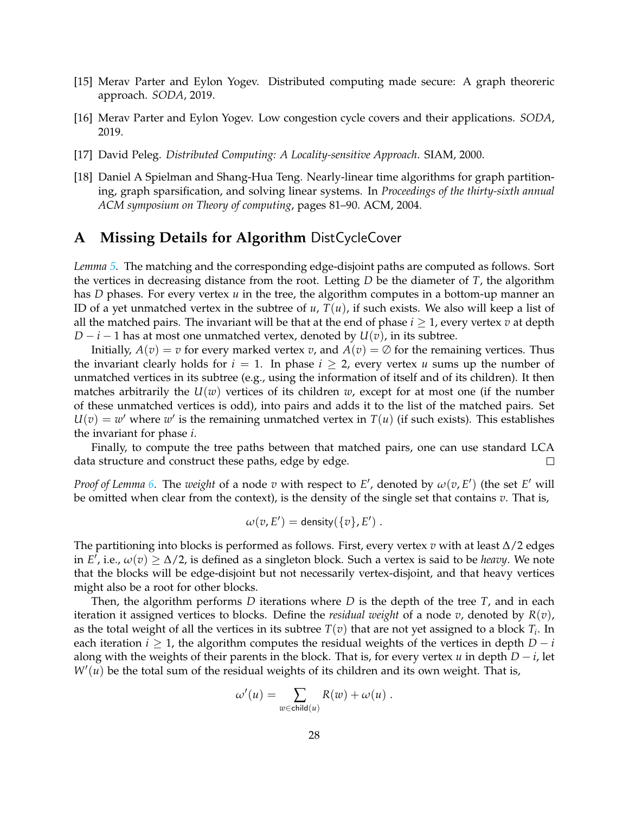- <span id="page-28-2"></span>[15] Merav Parter and Eylon Yogev. Distributed computing made secure: A graph theoreric approach. *SODA*, 2019.
- <span id="page-28-1"></span>[16] Merav Parter and Eylon Yogev. Low congestion cycle covers and their applications. *SODA*, 2019.
- <span id="page-28-4"></span>[17] David Peleg. *Distributed Computing: A Locality-sensitive Approach*. SIAM, 2000.
- <span id="page-28-3"></span>[18] Daniel A Spielman and Shang-Hua Teng. Nearly-linear time algorithms for graph partitioning, graph sparsification, and solving linear systems. In *Proceedings of the thirty-sixth annual ACM symposium on Theory of computing*, pages 81–90. ACM, 2004.

# <span id="page-28-0"></span>**A Missing Details for Algorithm** DistCycleCover

*Lemma [5.](#page-14-1)* The matching and the corresponding edge-disjoint paths are computed as follows. Sort the vertices in decreasing distance from the root. Letting *D* be the diameter of *T*, the algorithm has *D* phases. For every vertex *u* in the tree, the algorithm computes in a bottom-up manner an ID of a yet unmatched vertex in the subtree of  $u$ ,  $T(u)$ , if such exists. We also will keep a list of all the matched pairs. The invariant will be that at the end of phase *i* ≥ 1, every vertex *v* at depth *D* − *i* − 1 has at most one unmatched vertex, denoted by  $U(v)$ , in its subtree.

Initially,  $A(v) = v$  for every marked vertex *v*, and  $A(v) = \emptyset$  for the remaining vertices. Thus the invariant clearly holds for  $i = 1$ . In phase  $i \geq 2$ , every vertex *u* sums up the number of unmatched vertices in its subtree (e.g., using the information of itself and of its children). It then matches arbitrarily the  $U(w)$  vertices of its children w, except for at most one (if the number of these unmatched vertices is odd), into pairs and adds it to the list of the matched pairs. Set  $U(v) = w'$  where *w'* is the remaining unmatched vertex in  $T(u)$  (if such exists). This establishes the invariant for phase *i*.

Finally, to compute the tree paths between that matched pairs, one can use standard LCA data structure and construct these paths, edge by edge.  $\Box$ 

*Proof of Lemma [6.](#page-15-1)* The *weight* of a node *v* with respect to *E'*, denoted by  $\omega(v, E')$  (the set *E'* will be omitted when clear from the context), is the density of the single set that contains *v*. That is,

$$
\omega(v, E') = \text{density}(\{v\}, E') .
$$

The partitioning into blocks is performed as follows. First, every vertex *v* with at least ∆/2 edges in *E*<sup> $\ell$ </sup>, i.e.,  $\omega(v) \geq \Delta/2$ , is defined as a singleton block. Such a vertex is said to be *heavy*. We note that the blocks will be edge-disjoint but not necessarily vertex-disjoint, and that heavy vertices might also be a root for other blocks.

Then, the algorithm performs *D* iterations where *D* is the depth of the tree *T*, and in each iteration it assigned vertices to blocks. Define the *residual weight* of a node *v*, denoted by *R*(*v*), as the total weight of all the vertices in its subtree  $T(v)$  that are not yet assigned to a block  $T_i$ . In each iteration *i*  $\geq$  1, the algorithm computes the residual weights of the vertices in depth *D* − *i* along with the weights of their parents in the block. That is, for every vertex *u* in depth  $D - i$ , let  $W'(u)$  be the total sum of the residual weights of its children and its own weight. That is,

$$
\omega'(u) = \sum_{w \in \text{child}(u)} R(w) + \omega(u) .
$$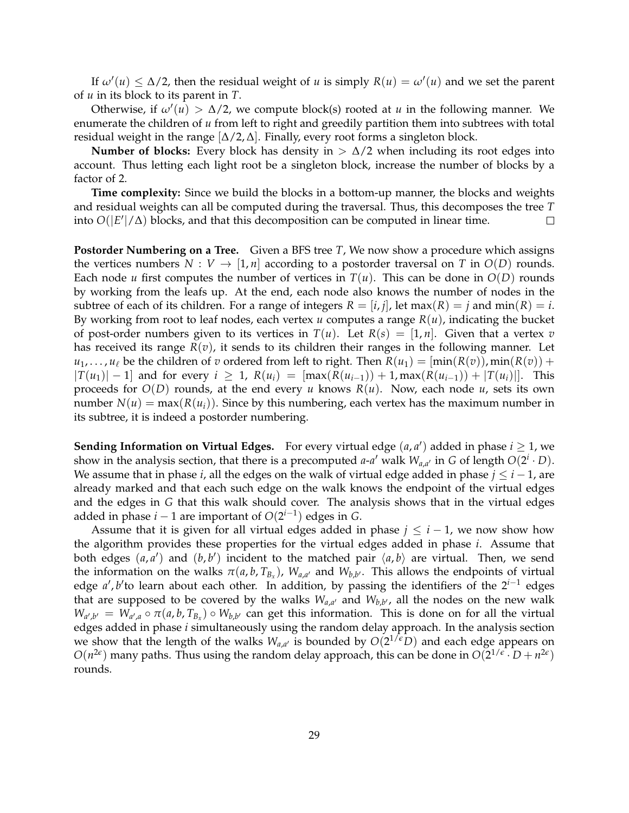If  $\omega'(u) \leq \Delta/2$ , then the residual weight of *u* is simply  $R(u) = \omega'(u)$  and we set the parent of *u* in its block to its parent in *T*.

Otherwise, if  $\omega'(u) > \Delta/2$ , we compute block(s) rooted at *u* in the following manner. We enumerate the children of *u* from left to right and greedily partition them into subtrees with total residual weight in the range  $[\Delta/2, \Delta]$ . Finally, every root forms a singleton block.

**Number of blocks:** Every block has density in  $> \Delta/2$  when including its root edges into account. Thus letting each light root be a singleton block, increase the number of blocks by a factor of 2.

**Time complexity:** Since we build the blocks in a bottom-up manner, the blocks and weights and residual weights can all be computed during the traversal. Thus, this decomposes the tree *T* into  $O(|E'|/\Delta)$  blocks, and that this decomposition can be computed in linear time.  $\Box$ 

**Postorder Numbering on a Tree.** Given a BFS tree *T*, We now show a procedure which assigns the vertices numbers  $N: V \to [1, n]$  according to a postorder traversal on *T* in  $O(D)$  rounds. Each node *u* first computes the number of vertices in  $T(u)$ . This can be done in  $O(D)$  rounds by working from the leafs up. At the end, each node also knows the number of nodes in the subtree of each of its children. For a range of integers  $R = [i, j]$ , let max $(R) = j$  and min $(R) = i$ . By working from root to leaf nodes, each vertex *u* computes a range *R*(*u*), indicating the bucket of post-order numbers given to its vertices in  $T(u)$ . Let  $R(s) = [1, n]$ . Given that a vertex *v* has received its range *R*(*v*), it sends to its children their ranges in the following manner. Let  $u_1, \ldots, u_\ell$  be the children of *v* ordered from left to right. Then  $R(u_1) = [\min(R(v)), \min(R(v)) +$  $|T(u_1)| - 1$  and for every  $i > 1$ ,  $R(u_i) = [\max(R(u_{i-1})) + 1, \max(R(u_{i-1})) + |T(u_i)|]$ . This proceeds for  $O(D)$  rounds, at the end every *u* knows  $R(u)$ . Now, each node *u*, sets its own number  $N(u) = \max(R(u_i))$ . Since by this numbering, each vertex has the maximum number in its subtree, it is indeed a postorder numbering.

**Sending Information on Virtual Edges.** For every virtual edge  $(a, a')$  added in phase  $i \ge 1$ , we show in the analysis section, that there is a precomputed *a*-*a'* walk  $W_{a,a'}$  in *G* of length  $O(2^i \cdot D)$ . We assume that in phase *i*, all the edges on the walk of virtual edge added in phase  $j \leq i - 1$ , are already marked and that each such edge on the walk knows the endpoint of the virtual edges and the edges in *G* that this walk should cover. The analysis shows that in the virtual edges added in phase *i* − 1 are important of *O*(2 *i*−1 ) edges in *G*.

Assume that it is given for all virtual edges added in phase  $j \leq i - 1$ , we now show how the algorithm provides these properties for the virtual edges added in phase *i*. Assume that both edges  $(a, a')$  and  $(b, b')$  incident to the matched pair  $\langle a, b \rangle$  are virtual. Then, we send the information on the walks  $\pi(a, b, T_{B_x})$ ,  $W_{a,a'}$  and  $W_{b,b'}$ . This allows the endpoints of virtual edge *a', b'* to learn about each other. In addition, by passing the identifiers of the 2<sup>*i*−1</sup> edges that are supposed to be covered by the walks  $W_{a,a'}$  and  $W_{b,b'}$ , all the nodes on the new walk  $W_{a',b'} = W_{a',a} \circ \pi(a,b,T_{B_x}) \circ W_{b,b'}$  can get this information. This is done on for all the virtual edges added in phase *i* simultaneously using the random delay approach. In the analysis section we show that the length of the walks  $W_{a,a'}$  is bounded by  $O(2^{1/\epsilon}D)$  and each edge appears on  $O(n^{2\epsilon})$  many paths. Thus using the random delay approach, this can be done in  $O(2^{1/\epsilon} \cdot D + n^{2\epsilon})$ rounds.